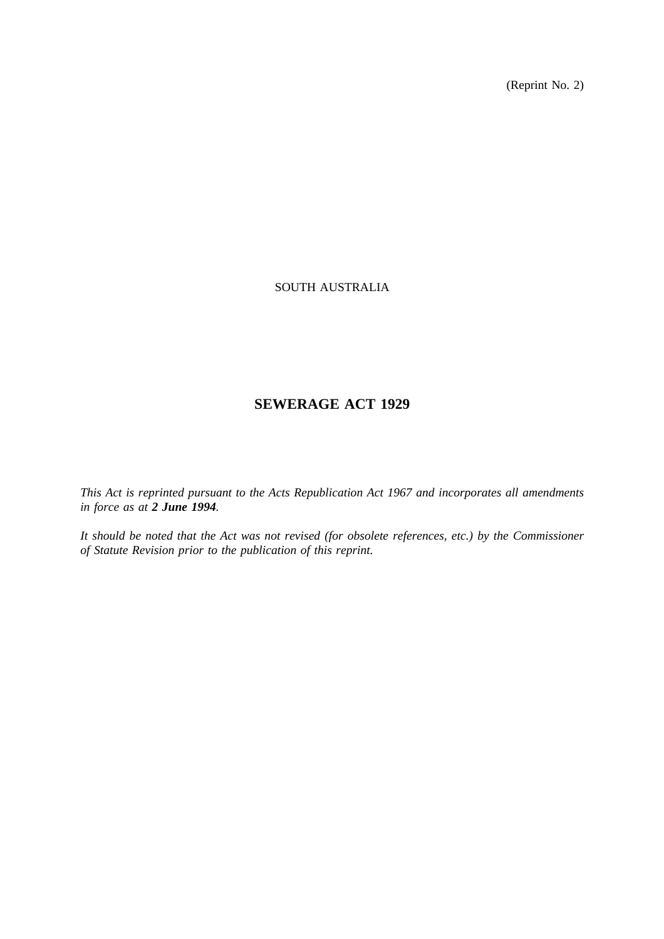(Reprint No. 2)

# SOUTH AUSTRALIA

# **SEWERAGE ACT 1929**

*This Act is reprinted pursuant to the Acts Republication Act 1967 and incorporates all amendments in force as at 2 June 1994.*

*It should be noted that the Act was not revised (for obsolete references, etc.) by the Commissioner of Statute Revision prior to the publication of this reprint.*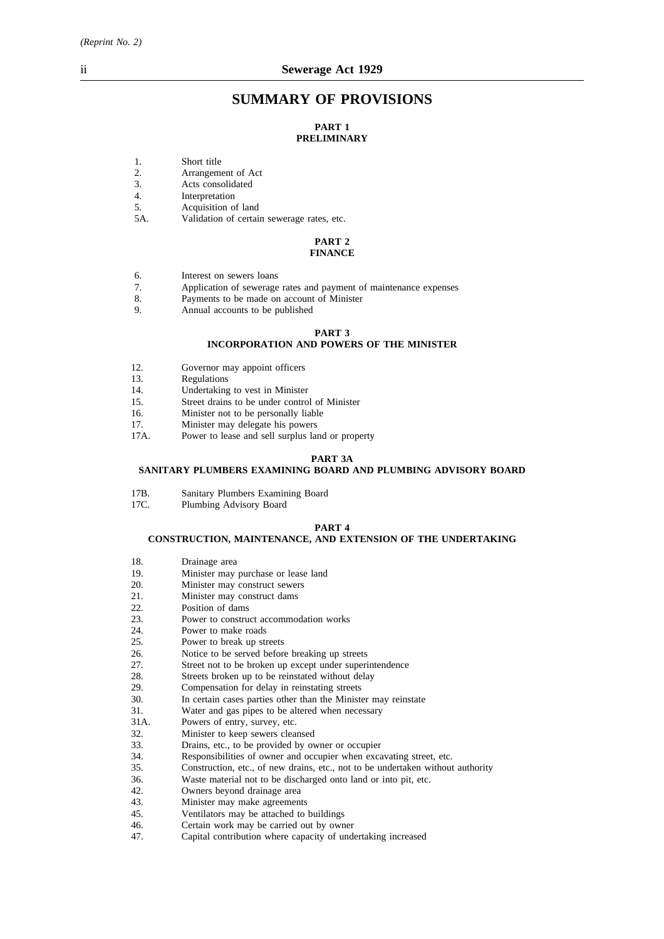# **SUMMARY OF PROVISIONS**

## **PART 1 PRELIMINARY**

- 1. Short title
- 
- 2. Arrangement of Act<br>3. Acts consolidated Acts consolidated
- 4. Interpretation
- 5. Acquisition of land
- 5A. Validation of certain sewerage rates, etc.

#### **PART 2 FINANCE**

- 6. Interest on sewers loans
- 7. Application of sewerage rates and payment of maintenance expenses
- 8. Payments to be made on account of Minister
- 9. Annual accounts to be published

## **PART 3**

## **INCORPORATION AND POWERS OF THE MINISTER**

- 12. Governor may appoint officers
- 13. Regulations
- 14. Undertaking to vest in Minister<br>15. Street drains to be under control
- Street drains to be under control of Minister
- 16. Minister not to be personally liable
- 
- 17. Minister may delegate his powers<br>17A. Power to lease and sell surplus lare Power to lease and sell surplus land or property

#### **PART 3A**

## **SANITARY PLUMBERS EXAMINING BOARD AND PLUMBING ADVISORY BOARD**

- 
- 17B. Sanitary Plumbers Examining Board<br>17C. Plumbing Advisory Board Plumbing Advisory Board

# **PART 4**

#### **CONSTRUCTION, MAINTENANCE, AND EXTENSION OF THE UNDERTAKING**

- 18. Drainage area
- 19. Minister may purchase or lease land
- 20. Minister may construct sewers<br>21 Minister may construct dams
- Minister may construct dams
- 22. Position of dams<br>23. Power to constru
- Power to construct accommodation works
- 24. Power to make roads<br>25. Power to break up str
- 25. Power to break up streets<br>26. Notice to be served before
- 26. Notice to be served before breaking up streets 27. Street not to be broken up except under superi
- Street not to be broken up except under superintendence
- 28. Streets broken up to be reinstated without delay
- 29. Compensation for delay in reinstating streets<br>30. In certain cases parties other than the Ministe
- In certain cases parties other than the Minister may reinstate
- 31. Water and gas pipes to be altered when necessary
- 31A. Powers of entry, survey, etc.
- 32. Minister to keep sewers cleansed
- 33. Drains, etc., to be provided by owner or occupier
- 34. Responsibilities of owner and occupier when excavating street, etc.<br>35. Construction, etc., of new drains, etc., not to be undertaken without
- Construction, etc., of new drains, etc., not to be undertaken without authority
- 36. Waste material not to be discharged onto land or into pit, etc.
- 42. Owners beyond drainage area<br>43. Minister may make agreement
- Minister may make agreements
- 45. Ventilators may be attached to buildings
- 46. Certain work may be carried out by owner<br>47. Capital contribution where capacity of und
- Capital contribution where capacity of undertaking increased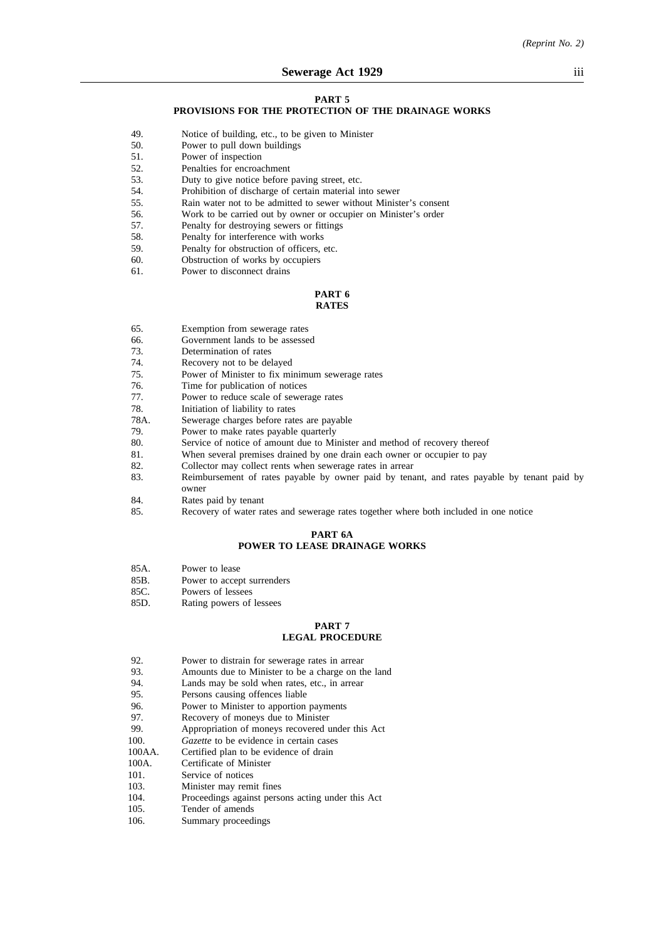#### **PART 5**

# **PROVISIONS FOR THE PROTECTION OF THE DRAINAGE WORKS**

- 49. Notice of building, etc., to be given to Minister
- 50. Power to pull down buildings
- 51. Power of inspection
- 52. Penalties for encroachment<br>53. Duty to give notice before
- Duty to give notice before paving street, etc.
- 54. Prohibition of discharge of certain material into sewer<br>55 Rain water not to be admitted to sewer without Minist
- 55. Rain water not to be admitted to sewer without Minister's consent
- 56. Work to be carried out by owner or occupier on Minister's order
- 57. Penalty for destroying sewers or fittings
- 58. Penalty for interference with works
- 59. Penalty for obstruction of officers, etc.
- 60. Obstruction of works by occupiers
- 61. Power to disconnect drains

#### **PART 6 RATES**

- 65. Exemption from sewerage rates
- 66. Government lands to be assessed 73. Determination of rates
- Determination of rates
- 74. Recovery not to be delayed
- 75. Power of Minister to fix minimum sewerage rates 76. Time for publication of notices
- Time for publication of notices
- 77. Power to reduce scale of sewerage rates
- 78. Initiation of liability to rates<br>78A. Sewerage charges before rate
- Sewerage charges before rates are payable
- 79. Power to make rates payable quarterly
- 80. Service of notice of amount due to Minister and method of recovery thereof
- 81. When several premises drained by one drain each owner or occupier to pay
- 82. Collector may collect rents when sewerage rates in arrear
- 83. Reimbursement of rates payable by owner paid by tenant, and rates payable by tenant paid by owner
- 84. Rates paid by tenant
- 85. Recovery of water rates and sewerage rates together where both included in one notice

#### **PART 6A POWER TO LEASE DRAINAGE WORKS**

- 85A. Power to lease
- 85B. Power to accept surrenders
- 85C. Powers of lessees
- 85D. Rating powers of lessees

#### **PART 7 LEGAL PROCEDURE**

- 92. Power to distrain for sewerage rates in arrear<br>93. Amounts due to Minister to be a charge on the
- Amounts due to Minister to be a charge on the land
- 94. Lands may be sold when rates, etc., in arrear
- 95. Persons causing offences liable<br>96. Power to Minister to apportion
- 96. Power to Minister to apportion payments<br>97. Recovery of moneys due to Minister
- Recovery of moneys due to Minister
- 99. Appropriation of moneys recovered under this Act
- 100. *Gazette* to be evidence in certain cases 100AA. Certified plan to be evidence of drain
- Certified plan to be evidence of drain
- 100A. Certificate of Minister
- 101. Service of notices<br>103. Minister may rem
- Minister may remit fines
- 104. Proceedings against persons acting under this Act
- 105. Tender of amends
- 106. Summary proceedings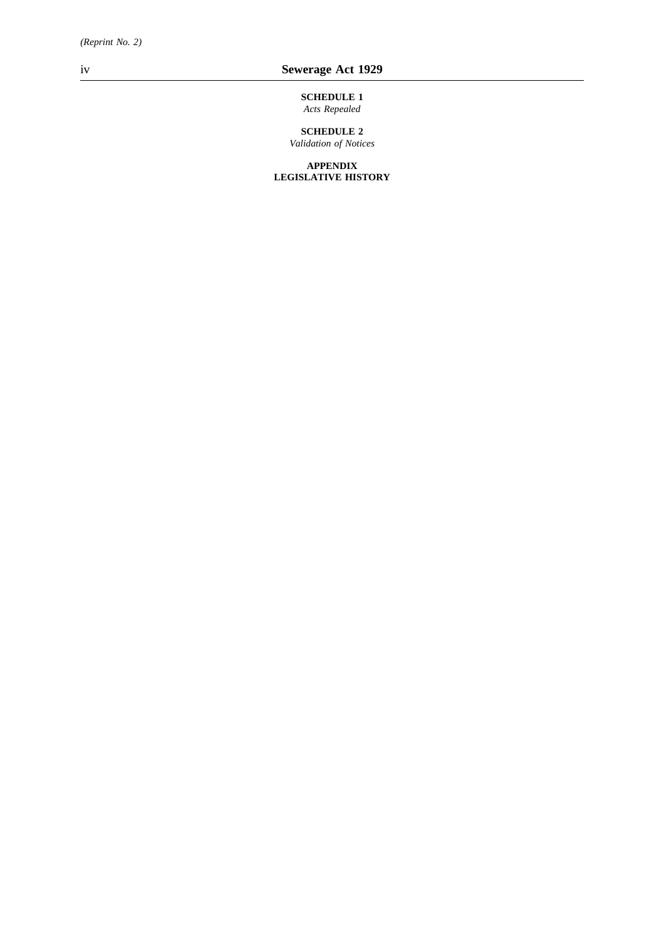**SCHEDULE 1** *Acts Repealed*

**SCHEDULE 2** *Validation of Notices*

**APPENDIX LEGISLATIVE HISTORY**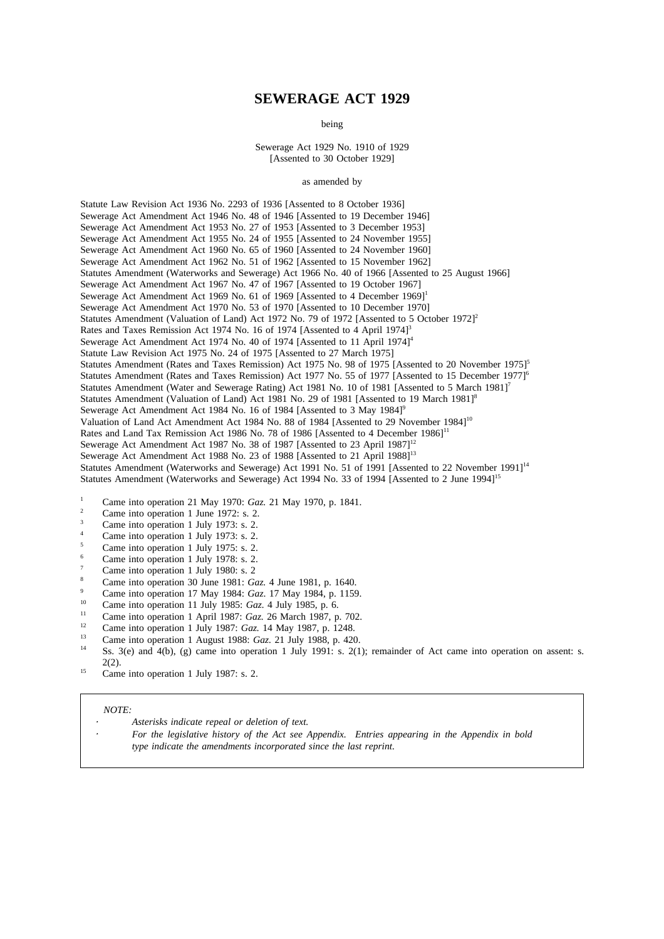# **SEWERAGE ACT 1929**

being

Sewerage Act 1929 No. 1910 of 1929 [Assented to 30 October 1929]

#### as amended by

Statute Law Revision Act 1936 No. 2293 of 1936 [Assented to 8 October 1936] Sewerage Act Amendment Act 1946 No. 48 of 1946 [Assented to 19 December 1946] Sewerage Act Amendment Act 1953 No. 27 of 1953 [Assented to 3 December 1953] Sewerage Act Amendment Act 1955 No. 24 of 1955 [Assented to 24 November 1955] Sewerage Act Amendment Act 1960 No. 65 of 1960 [Assented to 24 November 1960] Sewerage Act Amendment Act 1962 No. 51 of 1962 [Assented to 15 November 1962] Statutes Amendment (Waterworks and Sewerage) Act 1966 No. 40 of 1966 [Assented to 25 August 1966] Sewerage Act Amendment Act 1967 No. 47 of 1967 [Assented to 19 October 1967] Sewerage Act Amendment Act 1969 No. 61 of 1969 [Assented to 4 December 1969]<sup>1</sup> Sewerage Act Amendment Act 1970 No. 53 of 1970 [Assented to 10 December 1970] Statutes Amendment (Valuation of Land) Act 1972 No. 79 of 1972 [Assented to 5 October 1972]<sup>2</sup> Rates and Taxes Remission Act 1974 No. 16 of 1974 [Assented to 4 April 1974]<sup>3</sup> Sewerage Act Amendment Act 1974 No. 40 of 1974 [Assented to 11 April 1974]<sup>4</sup> Statute Law Revision Act 1975 No. 24 of 1975 [Assented to 27 March 1975] Statutes Amendment (Rates and Taxes Remission) Act 1975 No. 98 of 1975 [Assented to 20 November 1975]<sup>5</sup> Statutes Amendment (Rates and Taxes Remission) Act 1977 No. 55 of 1977 [Assented to 15 December 1977<sup>6</sup> Statutes Amendment (Water and Sewerage Rating) Act 1981 No. 10 of 1981 [Assented to 5 March 1981]<sup>7</sup> Statutes Amendment (Valuation of Land) Act 1981 No. 29 of 1981 [Assented to 19 March 1981]<sup>8</sup> Sewerage Act Amendment Act 1984 No. 16 of 1984 [Assented to 3 May 1984]<sup>9</sup> Valuation of Land Act Amendment Act 1984 No. 88 of 1984 [Assented to 29 November 1984]<sup>10</sup> Rates and Land Tax Remission Act 1986 No. 78 of 1986 [Assented to 4 December 1986]<sup>11</sup> Sewerage Act Amendment Act 1987 No. 38 of 1987 [Assented to 23 April 1987]<sup>12</sup> Sewerage Act Amendment Act 1988 No. 23 of 1988 [Assented to 21 April 1988]<sup>13</sup> Statutes Amendment (Waterworks and Sewerage) Act 1991 No. 51 of 1991 [Assented to 22 November 1991]<sup>14</sup> Statutes Amendment (Waterworks and Sewerage) Act 1994 No. 33 of 1994 [Assented to 2 June 1994]<sup>15</sup>

- <sup>1</sup> Came into operation 21 May 1970: *Gaz*. 21 May 1970, p. 1841.
- <sup>2</sup> Came into operation 1 June 1972: s. 2.<br><sup>3</sup> Came into a paration 1 July 1973:  $\frac{2}{3}$
- $\frac{3}{4}$  Came into operation 1 July 1973: s. 2.
- Came into operation 1 July 1973: s. 2.
- <sup>5</sup> Came into operation 1 July 1975: s. 2.
- <sup>6</sup> Came into operation 1 July 1978: s. 2.
- <sup>7</sup> Came into operation 1 July 1980: s. 2
- <sup>8</sup> Came into operation 30 June 1981: *Gaz.* 4 June 1981, p. 1640.
- <sup>9</sup> Came into operation 17 May 1984: *Gaz*. 17 May 1984, p. 1159.
- <sup>10</sup> Came into operation 11 July 1985: *Gaz.* 4 July 1985, p. 6.
- <sup>11</sup> Came into operation 1 April 1987: *Gaz*. 26 March 1987, p. 702.
- <sup>12</sup> Came into operation 1 July 1987: *Gaz.* 14 May 1987, p. 1248.
- <sup>13</sup> Came into operation 1 August 1988: *Gaz.* 21 July 1988, p. 420.
- Ss. 3(e) and 4(b), (g) came into operation 1 July 1991: s. 2(1); remainder of Act came into operation on assent: s. 2(2).
- <sup>15</sup> Came into operation 1 July 1987: s. 2.

#### *NOTE:*

- *Asterisks indicate repeal or deletion of text.*
- *For the legislative history of the Act see Appendix. Entries appearing in the Appendix in bold type indicate the amendments incorporated since the last reprint.*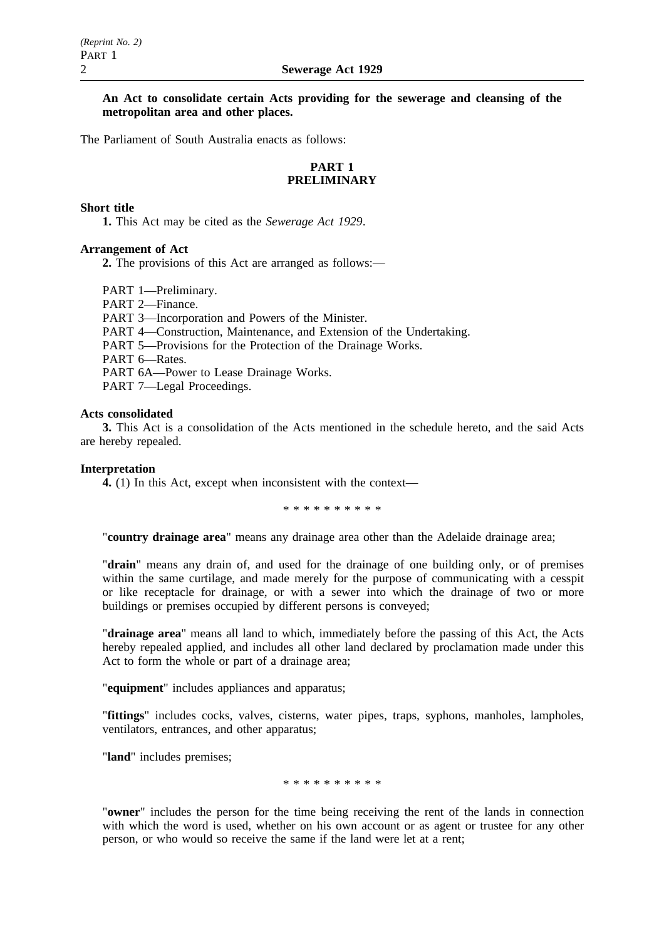**An Act to consolidate certain Acts providing for the sewerage and cleansing of the metropolitan area and other places.**

The Parliament of South Australia enacts as follows:

# **PART 1 PRELIMINARY**

## **Short title**

**1.** This Act may be cited as the *Sewerage Act 1929*.

## **Arrangement of Act**

**2.** The provisions of this Act are arranged as follows:—

PART 1—Preliminary.

PART 2—Finance.

PART 3—Incorporation and Powers of the Minister.

PART 4—Construction, Maintenance, and Extension of the Undertaking.

PART 5—Provisions for the Protection of the Drainage Works.

PART 6—Rates.

PART 6A—Power to Lease Drainage Works.

PART 7—Legal Proceedings.

## **Acts consolidated**

**3.** This Act is a consolidation of the Acts mentioned in the schedule hereto, and the said Acts are hereby repealed.

## **Interpretation**

**4.** (1) In this Act, except when inconsistent with the context—

\*\*\*\*\*\*\*\*\*\*

"**country drainage area**" means any drainage area other than the Adelaide drainage area;

"**drain**" means any drain of, and used for the drainage of one building only, or of premises within the same curtilage, and made merely for the purpose of communicating with a cesspit or like receptacle for drainage, or with a sewer into which the drainage of two or more buildings or premises occupied by different persons is conveyed;

"**drainage area**" means all land to which, immediately before the passing of this Act, the Acts hereby repealed applied, and includes all other land declared by proclamation made under this Act to form the whole or part of a drainage area;

"**equipment**" includes appliances and apparatus;

"**fittings**" includes cocks, valves, cisterns, water pipes, traps, syphons, manholes, lampholes, ventilators, entrances, and other apparatus;

"**land**" includes premises;

\*\*\*\*\*\*\*\*\*\*

"**owner**" includes the person for the time being receiving the rent of the lands in connection with which the word is used, whether on his own account or as agent or trustee for any other person, or who would so receive the same if the land were let at a rent;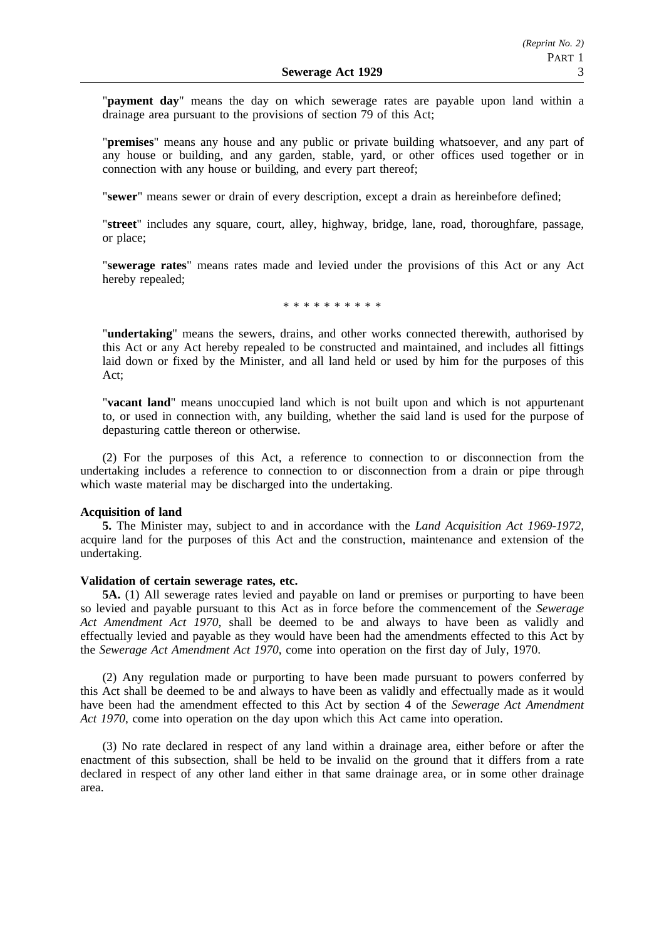"**payment day**" means the day on which sewerage rates are payable upon land within a drainage area pursuant to the provisions of section 79 of this Act;

"**premises**" means any house and any public or private building whatsoever, and any part of any house or building, and any garden, stable, yard, or other offices used together or in connection with any house or building, and every part thereof;

"**sewer**" means sewer or drain of every description, except a drain as hereinbefore defined;

"**street**" includes any square, court, alley, highway, bridge, lane, road, thoroughfare, passage, or place;

"**sewerage rates**" means rates made and levied under the provisions of this Act or any Act hereby repealed;

\*\*\*\*\*\*\*\*\*\*

"**undertaking**" means the sewers, drains, and other works connected therewith, authorised by this Act or any Act hereby repealed to be constructed and maintained, and includes all fittings laid down or fixed by the Minister, and all land held or used by him for the purposes of this Act;

"**vacant land**" means unoccupied land which is not built upon and which is not appurtenant to, or used in connection with, any building, whether the said land is used for the purpose of depasturing cattle thereon or otherwise.

(2) For the purposes of this Act, a reference to connection to or disconnection from the undertaking includes a reference to connection to or disconnection from a drain or pipe through which waste material may be discharged into the undertaking.

## **Acquisition of land**

**5.** The Minister may, subject to and in accordance with the *Land Acquisition Act 1969-1972*, acquire land for the purposes of this Act and the construction, maintenance and extension of the undertaking.

## **Validation of certain sewerage rates, etc.**

**5A.** (1) All sewerage rates levied and payable on land or premises or purporting to have been so levied and payable pursuant to this Act as in force before the commencement of the *Sewerage Act Amendment Act 1970*, shall be deemed to be and always to have been as validly and effectually levied and payable as they would have been had the amendments effected to this Act by the *Sewerage Act Amendment Act 1970*, come into operation on the first day of July, 1970.

(2) Any regulation made or purporting to have been made pursuant to powers conferred by this Act shall be deemed to be and always to have been as validly and effectually made as it would have been had the amendment effected to this Act by section 4 of the *Sewerage Act Amendment Act 1970*, come into operation on the day upon which this Act came into operation.

(3) No rate declared in respect of any land within a drainage area, either before or after the enactment of this subsection, shall be held to be invalid on the ground that it differs from a rate declared in respect of any other land either in that same drainage area, or in some other drainage area.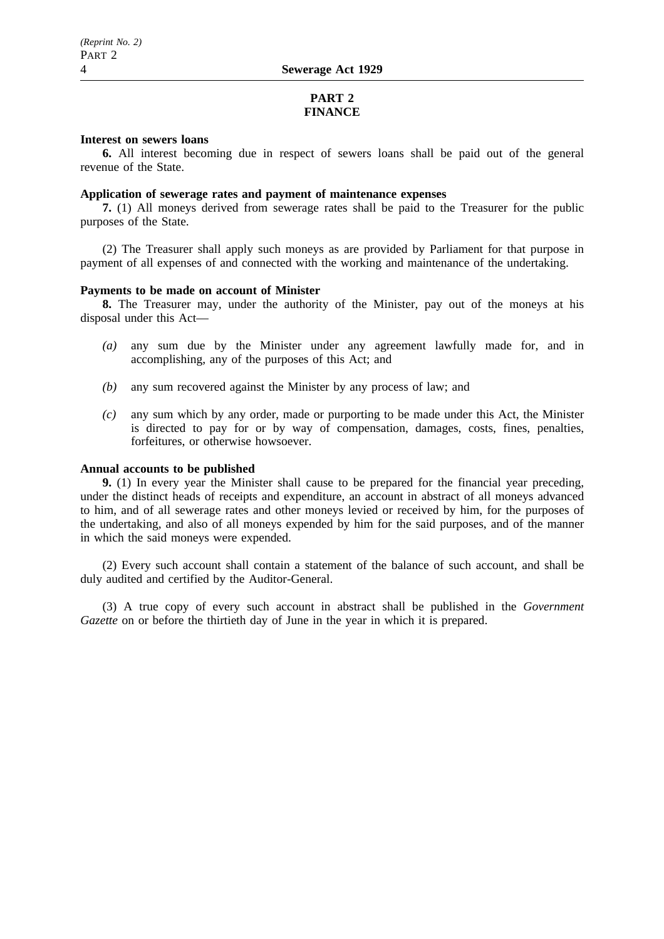# **PART 2 FINANCE**

## **Interest on sewers loans**

**6.** All interest becoming due in respect of sewers loans shall be paid out of the general revenue of the State.

## **Application of sewerage rates and payment of maintenance expenses**

**7.** (1) All moneys derived from sewerage rates shall be paid to the Treasurer for the public purposes of the State.

(2) The Treasurer shall apply such moneys as are provided by Parliament for that purpose in payment of all expenses of and connected with the working and maintenance of the undertaking.

## **Payments to be made on account of Minister**

**8.** The Treasurer may, under the authority of the Minister, pay out of the moneys at his disposal under this Act—

- *(a)* any sum due by the Minister under any agreement lawfully made for, and in accomplishing, any of the purposes of this Act; and
- *(b)* any sum recovered against the Minister by any process of law; and
- *(c)* any sum which by any order, made or purporting to be made under this Act, the Minister is directed to pay for or by way of compensation, damages, costs, fines, penalties, forfeitures, or otherwise howsoever.

## **Annual accounts to be published**

**9.** (1) In every year the Minister shall cause to be prepared for the financial year preceding, under the distinct heads of receipts and expenditure, an account in abstract of all moneys advanced to him, and of all sewerage rates and other moneys levied or received by him, for the purposes of the undertaking, and also of all moneys expended by him for the said purposes, and of the manner in which the said moneys were expended.

(2) Every such account shall contain a statement of the balance of such account, and shall be duly audited and certified by the Auditor-General.

(3) A true copy of every such account in abstract shall be published in the *Government Gazette* on or before the thirtieth day of June in the year in which it is prepared.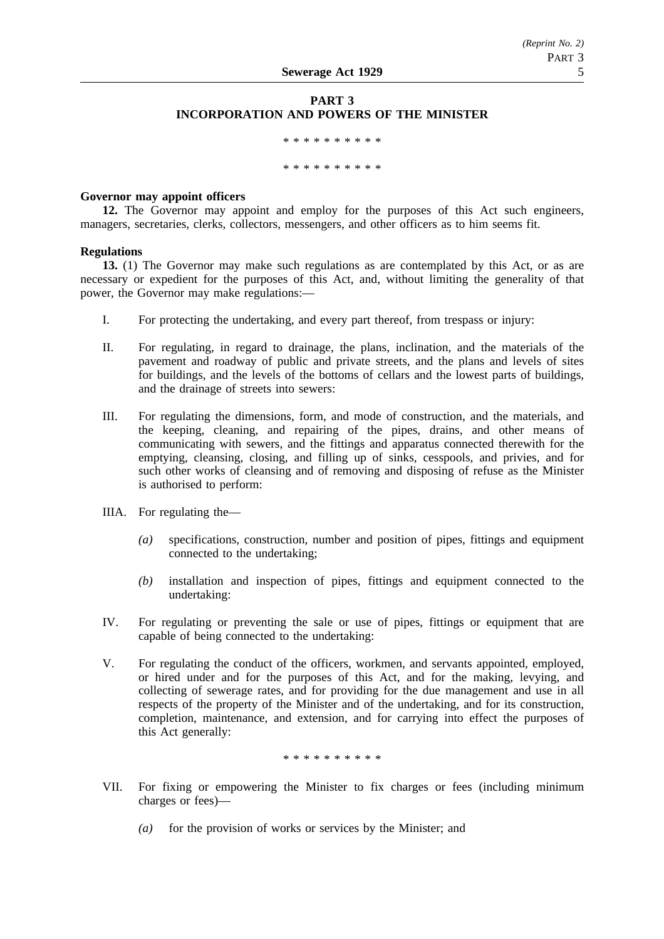# **PART 3 INCORPORATION AND POWERS OF THE MINISTER**

\*\*\*\*\*\*\*\*\*\*\*\*\*\*\*\*\* \*\*\*\*\*\*\*\*\*\*

## **Governor may appoint officers**

**12.** The Governor may appoint and employ for the purposes of this Act such engineers, managers, secretaries, clerks, collectors, messengers, and other officers as to him seems fit.

## **Regulations**

**13.** (1) The Governor may make such regulations as are contemplated by this Act, or as are necessary or expedient for the purposes of this Act, and, without limiting the generality of that power, the Governor may make regulations:—

- I. For protecting the undertaking, and every part thereof, from trespass or injury:
- II. For regulating, in regard to drainage, the plans, inclination, and the materials of the pavement and roadway of public and private streets, and the plans and levels of sites for buildings, and the levels of the bottoms of cellars and the lowest parts of buildings, and the drainage of streets into sewers:
- III. For regulating the dimensions, form, and mode of construction, and the materials, and the keeping, cleaning, and repairing of the pipes, drains, and other means of communicating with sewers, and the fittings and apparatus connected therewith for the emptying, cleansing, closing, and filling up of sinks, cesspools, and privies, and for such other works of cleansing and of removing and disposing of refuse as the Minister is authorised to perform:
- IIIA. For regulating the—
	- *(a)* specifications, construction, number and position of pipes, fittings and equipment connected to the undertaking;
	- *(b)* installation and inspection of pipes, fittings and equipment connected to the undertaking:
- IV. For regulating or preventing the sale or use of pipes, fittings or equipment that are capable of being connected to the undertaking:
- V. For regulating the conduct of the officers, workmen, and servants appointed, employed, or hired under and for the purposes of this Act, and for the making, levying, and collecting of sewerage rates, and for providing for the due management and use in all respects of the property of the Minister and of the undertaking, and for its construction, completion, maintenance, and extension, and for carrying into effect the purposes of this Act generally:

\*\*\*\*\*\*\*\*\*\*

- VII. For fixing or empowering the Minister to fix charges or fees (including minimum charges or fees)—
	- *(a)* for the provision of works or services by the Minister; and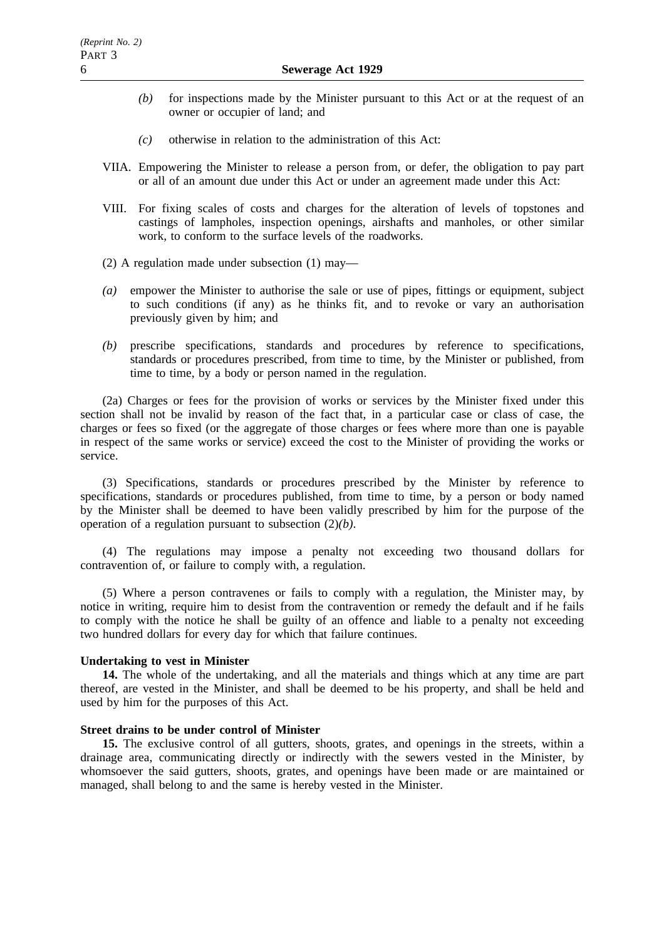- *(b)* for inspections made by the Minister pursuant to this Act or at the request of an owner or occupier of land; and
- *(c)* otherwise in relation to the administration of this Act:
- VIIA. Empowering the Minister to release a person from, or defer, the obligation to pay part or all of an amount due under this Act or under an agreement made under this Act:
- VIII. For fixing scales of costs and charges for the alteration of levels of topstones and castings of lampholes, inspection openings, airshafts and manholes, or other similar work, to conform to the surface levels of the roadworks.
- (2) A regulation made under subsection (1) may—
- *(a)* empower the Minister to authorise the sale or use of pipes, fittings or equipment, subject to such conditions (if any) as he thinks fit, and to revoke or vary an authorisation previously given by him; and
- *(b)* prescribe specifications, standards and procedures by reference to specifications, standards or procedures prescribed, from time to time, by the Minister or published, from time to time, by a body or person named in the regulation.

(2a) Charges or fees for the provision of works or services by the Minister fixed under this section shall not be invalid by reason of the fact that, in a particular case or class of case, the charges or fees so fixed (or the aggregate of those charges or fees where more than one is payable in respect of the same works or service) exceed the cost to the Minister of providing the works or service.

(3) Specifications, standards or procedures prescribed by the Minister by reference to specifications, standards or procedures published, from time to time, by a person or body named by the Minister shall be deemed to have been validly prescribed by him for the purpose of the operation of a regulation pursuant to subsection (2)*(b)*.

(4) The regulations may impose a penalty not exceeding two thousand dollars for contravention of, or failure to comply with, a regulation.

(5) Where a person contravenes or fails to comply with a regulation, the Minister may, by notice in writing, require him to desist from the contravention or remedy the default and if he fails to comply with the notice he shall be guilty of an offence and liable to a penalty not exceeding two hundred dollars for every day for which that failure continues.

## **Undertaking to vest in Minister**

**14.** The whole of the undertaking, and all the materials and things which at any time are part thereof, are vested in the Minister, and shall be deemed to be his property, and shall be held and used by him for the purposes of this Act.

## **Street drains to be under control of Minister**

**15.** The exclusive control of all gutters, shoots, grates, and openings in the streets, within a drainage area, communicating directly or indirectly with the sewers vested in the Minister, by whomsoever the said gutters, shoots, grates, and openings have been made or are maintained or managed, shall belong to and the same is hereby vested in the Minister.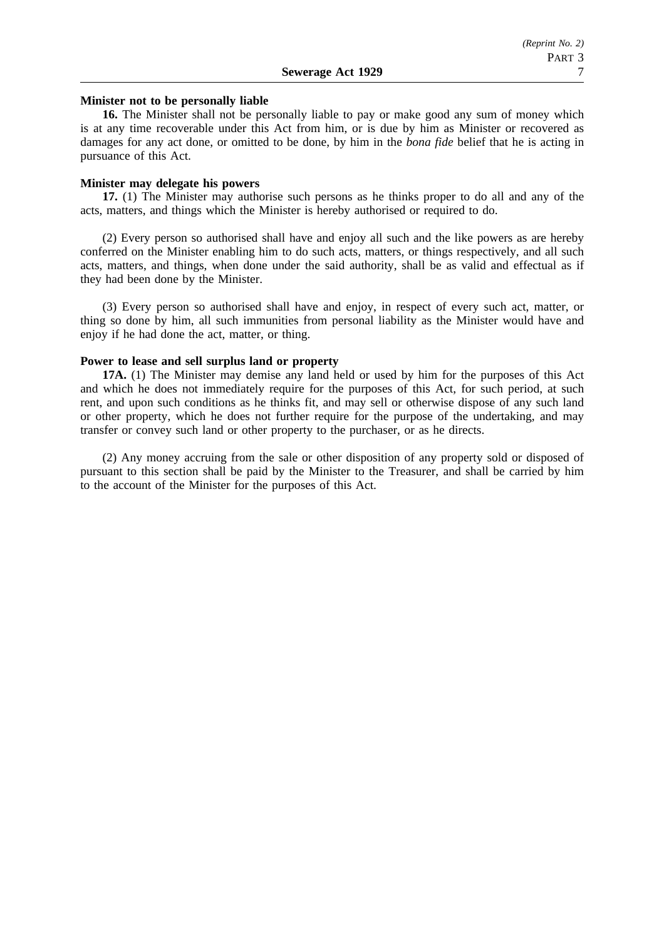## **Minister not to be personally liable**

**16.** The Minister shall not be personally liable to pay or make good any sum of money which is at any time recoverable under this Act from him, or is due by him as Minister or recovered as damages for any act done, or omitted to be done, by him in the *bona fide* belief that he is acting in pursuance of this Act.

## **Minister may delegate his powers**

**17.** (1) The Minister may authorise such persons as he thinks proper to do all and any of the acts, matters, and things which the Minister is hereby authorised or required to do.

(2) Every person so authorised shall have and enjoy all such and the like powers as are hereby conferred on the Minister enabling him to do such acts, matters, or things respectively, and all such acts, matters, and things, when done under the said authority, shall be as valid and effectual as if they had been done by the Minister.

(3) Every person so authorised shall have and enjoy, in respect of every such act, matter, or thing so done by him, all such immunities from personal liability as the Minister would have and enjoy if he had done the act, matter, or thing.

## **Power to lease and sell surplus land or property**

**17A.** (1) The Minister may demise any land held or used by him for the purposes of this Act and which he does not immediately require for the purposes of this Act, for such period, at such rent, and upon such conditions as he thinks fit, and may sell or otherwise dispose of any such land or other property, which he does not further require for the purpose of the undertaking, and may transfer or convey such land or other property to the purchaser, or as he directs.

(2) Any money accruing from the sale or other disposition of any property sold or disposed of pursuant to this section shall be paid by the Minister to the Treasurer, and shall be carried by him to the account of the Minister for the purposes of this Act.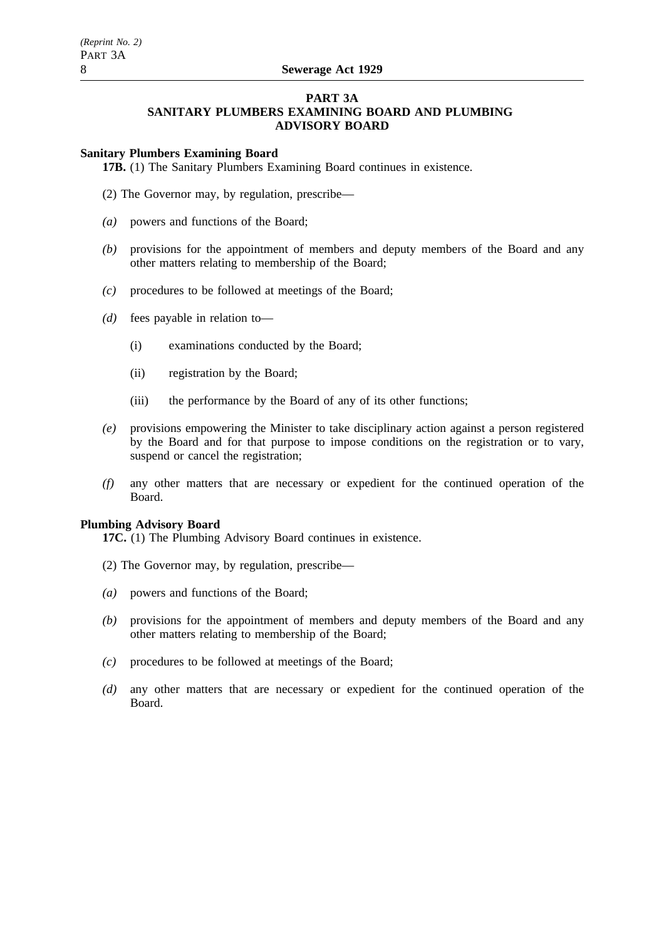# **PART 3A SANITARY PLUMBERS EXAMINING BOARD AND PLUMBING**

# **ADVISORY BOARD**

# **Sanitary Plumbers Examining Board**

**17B.** (1) The Sanitary Plumbers Examining Board continues in existence.

- (2) The Governor may, by regulation, prescribe—
- *(a)* powers and functions of the Board;
- *(b)* provisions for the appointment of members and deputy members of the Board and any other matters relating to membership of the Board;
- *(c)* procedures to be followed at meetings of the Board;
- *(d)* fees payable in relation to—
	- (i) examinations conducted by the Board;
	- (ii) registration by the Board;
	- (iii) the performance by the Board of any of its other functions;
- *(e)* provisions empowering the Minister to take disciplinary action against a person registered by the Board and for that purpose to impose conditions on the registration or to vary, suspend or cancel the registration;
- *(f)* any other matters that are necessary or expedient for the continued operation of the Board.

# **Plumbing Advisory Board**

**17C.** (1) The Plumbing Advisory Board continues in existence.

- (2) The Governor may, by regulation, prescribe—
- *(a)* powers and functions of the Board;
- *(b)* provisions for the appointment of members and deputy members of the Board and any other matters relating to membership of the Board;
- *(c)* procedures to be followed at meetings of the Board;
- *(d)* any other matters that are necessary or expedient for the continued operation of the Board.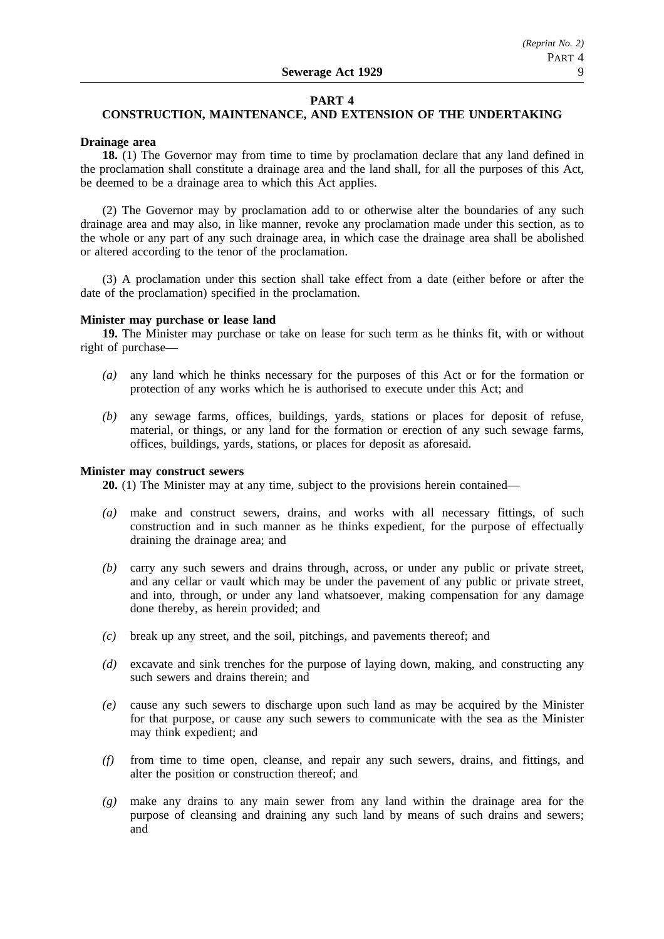## **PART 4**

## **CONSTRUCTION, MAINTENANCE, AND EXTENSION OF THE UNDERTAKING**

## **Drainage area**

**18.** (1) The Governor may from time to time by proclamation declare that any land defined in the proclamation shall constitute a drainage area and the land shall, for all the purposes of this Act, be deemed to be a drainage area to which this Act applies.

(2) The Governor may by proclamation add to or otherwise alter the boundaries of any such drainage area and may also, in like manner, revoke any proclamation made under this section, as to the whole or any part of any such drainage area, in which case the drainage area shall be abolished or altered according to the tenor of the proclamation.

(3) A proclamation under this section shall take effect from a date (either before or after the date of the proclamation) specified in the proclamation.

### **Minister may purchase or lease land**

**19.** The Minister may purchase or take on lease for such term as he thinks fit, with or without right of purchase—

- *(a)* any land which he thinks necessary for the purposes of this Act or for the formation or protection of any works which he is authorised to execute under this Act; and
- *(b)* any sewage farms, offices, buildings, yards, stations or places for deposit of refuse, material, or things, or any land for the formation or erection of any such sewage farms, offices, buildings, yards, stations, or places for deposit as aforesaid.

## **Minister may construct sewers**

**20.** (1) The Minister may at any time, subject to the provisions herein contained—

- *(a)* make and construct sewers, drains, and works with all necessary fittings, of such construction and in such manner as he thinks expedient, for the purpose of effectually draining the drainage area; and
- *(b)* carry any such sewers and drains through, across, or under any public or private street, and any cellar or vault which may be under the pavement of any public or private street, and into, through, or under any land whatsoever, making compensation for any damage done thereby, as herein provided; and
- *(c)* break up any street, and the soil, pitchings, and pavements thereof; and
- *(d)* excavate and sink trenches for the purpose of laying down, making, and constructing any such sewers and drains therein; and
- *(e)* cause any such sewers to discharge upon such land as may be acquired by the Minister for that purpose, or cause any such sewers to communicate with the sea as the Minister may think expedient; and
- *(f)* from time to time open, cleanse, and repair any such sewers, drains, and fittings, and alter the position or construction thereof; and
- *(g)* make any drains to any main sewer from any land within the drainage area for the purpose of cleansing and draining any such land by means of such drains and sewers; and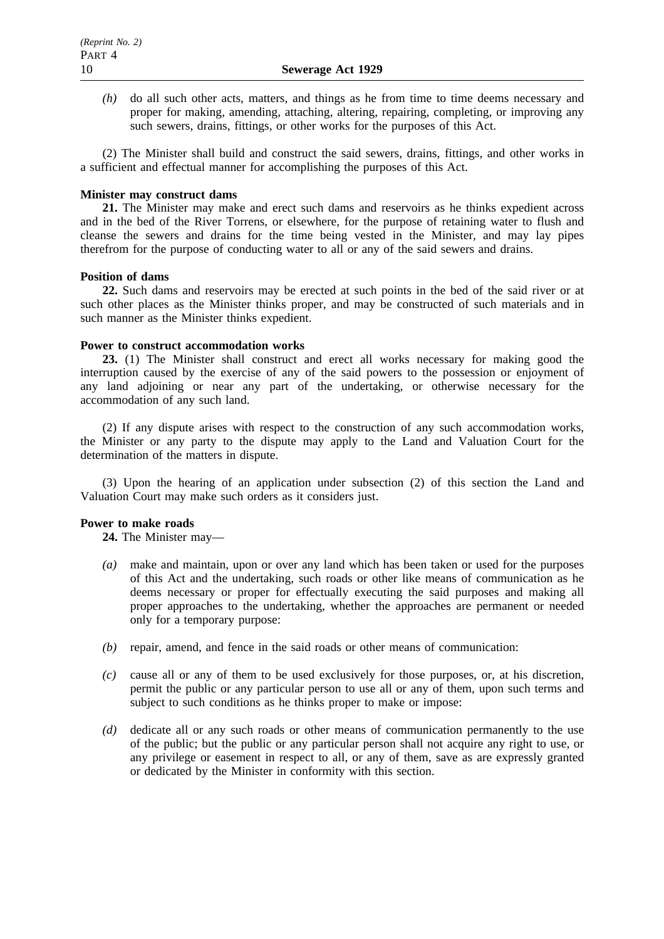*(h)* do all such other acts, matters, and things as he from time to time deems necessary and proper for making, amending, attaching, altering, repairing, completing, or improving any such sewers, drains, fittings, or other works for the purposes of this Act.

(2) The Minister shall build and construct the said sewers, drains, fittings, and other works in a sufficient and effectual manner for accomplishing the purposes of this Act.

## **Minister may construct dams**

**21.** The Minister may make and erect such dams and reservoirs as he thinks expedient across and in the bed of the River Torrens, or elsewhere, for the purpose of retaining water to flush and cleanse the sewers and drains for the time being vested in the Minister, and may lay pipes therefrom for the purpose of conducting water to all or any of the said sewers and drains.

## **Position of dams**

**22.** Such dams and reservoirs may be erected at such points in the bed of the said river or at such other places as the Minister thinks proper, and may be constructed of such materials and in such manner as the Minister thinks expedient.

## **Power to construct accommodation works**

**23.** (1) The Minister shall construct and erect all works necessary for making good the interruption caused by the exercise of any of the said powers to the possession or enjoyment of any land adjoining or near any part of the undertaking, or otherwise necessary for the accommodation of any such land.

(2) If any dispute arises with respect to the construction of any such accommodation works, the Minister or any party to the dispute may apply to the Land and Valuation Court for the determination of the matters in dispute.

(3) Upon the hearing of an application under subsection (2) of this section the Land and Valuation Court may make such orders as it considers just.

## **Power to make roads**

**24.** The Minister may—

- *(a)* make and maintain, upon or over any land which has been taken or used for the purposes of this Act and the undertaking, such roads or other like means of communication as he deems necessary or proper for effectually executing the said purposes and making all proper approaches to the undertaking, whether the approaches are permanent or needed only for a temporary purpose:
- *(b)* repair, amend, and fence in the said roads or other means of communication:
- *(c)* cause all or any of them to be used exclusively for those purposes, or, at his discretion, permit the public or any particular person to use all or any of them, upon such terms and subject to such conditions as he thinks proper to make or impose:
- *(d)* dedicate all or any such roads or other means of communication permanently to the use of the public; but the public or any particular person shall not acquire any right to use, or any privilege or easement in respect to all, or any of them, save as are expressly granted or dedicated by the Minister in conformity with this section.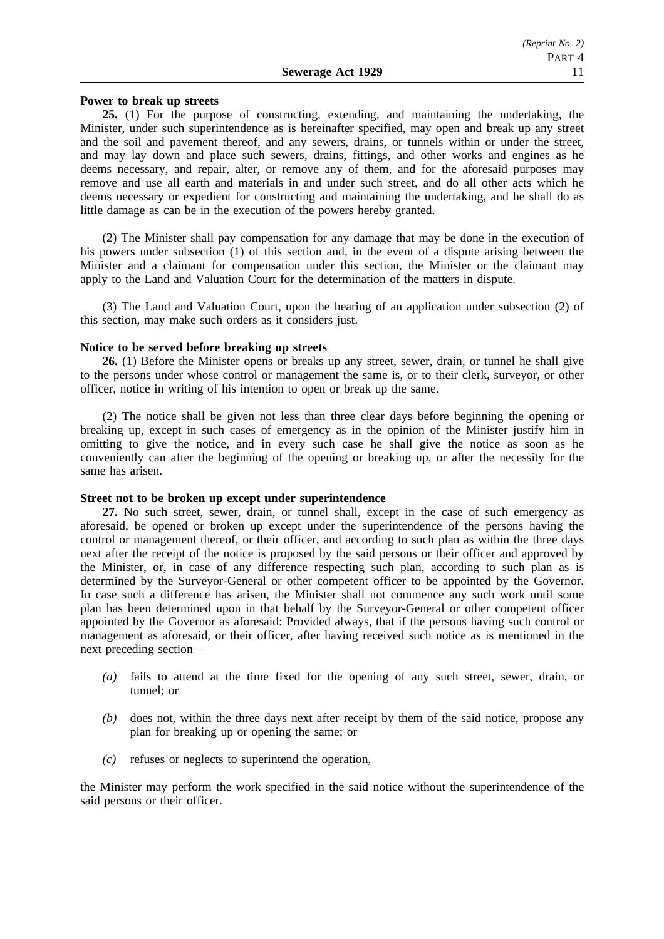## **Power to break up streets**

**25.** (1) For the purpose of constructing, extending, and maintaining the undertaking, the Minister, under such superintendence as is hereinafter specified, may open and break up any street and the soil and pavement thereof, and any sewers, drains, or tunnels within or under the street, and may lay down and place such sewers, drains, fittings, and other works and engines as he deems necessary, and repair, alter, or remove any of them, and for the aforesaid purposes may remove and use all earth and materials in and under such street, and do all other acts which he deems necessary or expedient for constructing and maintaining the undertaking, and he shall do as little damage as can be in the execution of the powers hereby granted.

(2) The Minister shall pay compensation for any damage that may be done in the execution of his powers under subsection (1) of this section and, in the event of a dispute arising between the Minister and a claimant for compensation under this section, the Minister or the claimant may apply to the Land and Valuation Court for the determination of the matters in dispute.

(3) The Land and Valuation Court, upon the hearing of an application under subsection (2) of this section, may make such orders as it considers just.

## **Notice to be served before breaking up streets**

**26.** (1) Before the Minister opens or breaks up any street, sewer, drain, or tunnel he shall give to the persons under whose control or management the same is, or to their clerk, surveyor, or other officer, notice in writing of his intention to open or break up the same.

(2) The notice shall be given not less than three clear days before beginning the opening or breaking up, except in such cases of emergency as in the opinion of the Minister justify him in omitting to give the notice, and in every such case he shall give the notice as soon as he conveniently can after the beginning of the opening or breaking up, or after the necessity for the same has arisen.

## **Street not to be broken up except under superintendence**

**27.** No such street, sewer, drain, or tunnel shall, except in the case of such emergency as aforesaid, be opened or broken up except under the superintendence of the persons having the control or management thereof, or their officer, and according to such plan as within the three days next after the receipt of the notice is proposed by the said persons or their officer and approved by the Minister, or, in case of any difference respecting such plan, according to such plan as is determined by the Surveyor-General or other competent officer to be appointed by the Governor. In case such a difference has arisen, the Minister shall not commence any such work until some plan has been determined upon in that behalf by the Surveyor-General or other competent officer appointed by the Governor as aforesaid: Provided always, that if the persons having such control or management as aforesaid, or their officer, after having received such notice as is mentioned in the next preceding section—

- *(a)* fails to attend at the time fixed for the opening of any such street, sewer, drain, or tunnel; or
- *(b)* does not, within the three days next after receipt by them of the said notice, propose any plan for breaking up or opening the same; or
- *(c)* refuses or neglects to superintend the operation,

the Minister may perform the work specified in the said notice without the superintendence of the said persons or their officer.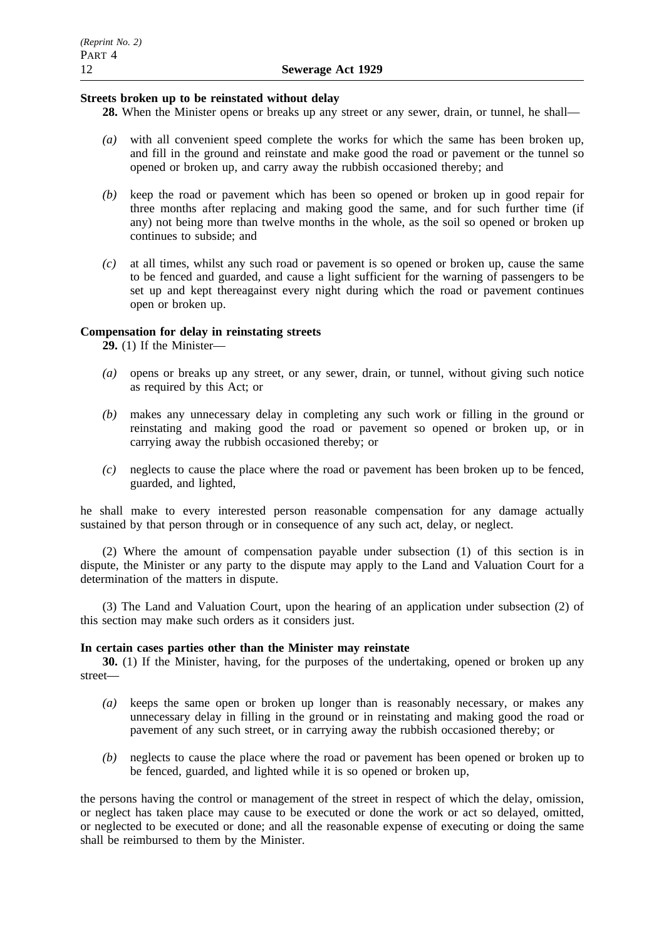## **Streets broken up to be reinstated without delay**

- **28.** When the Minister opens or breaks up any street or any sewer, drain, or tunnel, he shall—
- *(a)* with all convenient speed complete the works for which the same has been broken up, and fill in the ground and reinstate and make good the road or pavement or the tunnel so opened or broken up, and carry away the rubbish occasioned thereby; and
- *(b)* keep the road or pavement which has been so opened or broken up in good repair for three months after replacing and making good the same, and for such further time (if any) not being more than twelve months in the whole, as the soil so opened or broken up continues to subside; and
- *(c)* at all times, whilst any such road or pavement is so opened or broken up, cause the same to be fenced and guarded, and cause a light sufficient for the warning of passengers to be set up and kept thereagainst every night during which the road or pavement continues open or broken up.

## **Compensation for delay in reinstating streets**

**29.** (1) If the Minister—

- *(a)* opens or breaks up any street, or any sewer, drain, or tunnel, without giving such notice as required by this Act; or
- *(b)* makes any unnecessary delay in completing any such work or filling in the ground or reinstating and making good the road or pavement so opened or broken up, or in carrying away the rubbish occasioned thereby; or
- *(c)* neglects to cause the place where the road or pavement has been broken up to be fenced, guarded, and lighted,

he shall make to every interested person reasonable compensation for any damage actually sustained by that person through or in consequence of any such act, delay, or neglect.

(2) Where the amount of compensation payable under subsection (1) of this section is in dispute, the Minister or any party to the dispute may apply to the Land and Valuation Court for a determination of the matters in dispute.

(3) The Land and Valuation Court, upon the hearing of an application under subsection (2) of this section may make such orders as it considers just.

## **In certain cases parties other than the Minister may reinstate**

**30.** (1) If the Minister, having, for the purposes of the undertaking, opened or broken up any street—

- *(a)* keeps the same open or broken up longer than is reasonably necessary, or makes any unnecessary delay in filling in the ground or in reinstating and making good the road or pavement of any such street, or in carrying away the rubbish occasioned thereby; or
- *(b)* neglects to cause the place where the road or pavement has been opened or broken up to be fenced, guarded, and lighted while it is so opened or broken up,

the persons having the control or management of the street in respect of which the delay, omission, or neglect has taken place may cause to be executed or done the work or act so delayed, omitted, or neglected to be executed or done; and all the reasonable expense of executing or doing the same shall be reimbursed to them by the Minister.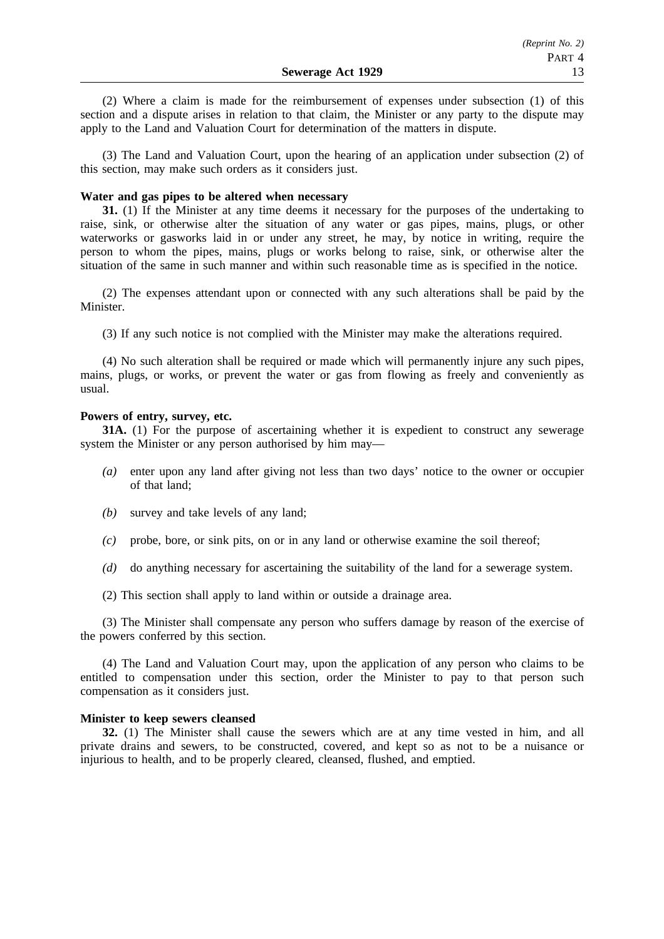(2) Where a claim is made for the reimbursement of expenses under subsection (1) of this section and a dispute arises in relation to that claim, the Minister or any party to the dispute may apply to the Land and Valuation Court for determination of the matters in dispute.

(3) The Land and Valuation Court, upon the hearing of an application under subsection (2) of this section, may make such orders as it considers just.

## **Water and gas pipes to be altered when necessary**

**31.** (1) If the Minister at any time deems it necessary for the purposes of the undertaking to raise, sink, or otherwise alter the situation of any water or gas pipes, mains, plugs, or other waterworks or gasworks laid in or under any street, he may, by notice in writing, require the person to whom the pipes, mains, plugs or works belong to raise, sink, or otherwise alter the situation of the same in such manner and within such reasonable time as is specified in the notice.

(2) The expenses attendant upon or connected with any such alterations shall be paid by the Minister.

(3) If any such notice is not complied with the Minister may make the alterations required.

(4) No such alteration shall be required or made which will permanently injure any such pipes, mains, plugs, or works, or prevent the water or gas from flowing as freely and conveniently as usual.

## **Powers of entry, survey, etc.**

**31A.** (1) For the purpose of ascertaining whether it is expedient to construct any sewerage system the Minister or any person authorised by him may—

- *(a)* enter upon any land after giving not less than two days' notice to the owner or occupier of that land;
- *(b)* survey and take levels of any land;
- *(c)* probe, bore, or sink pits, on or in any land or otherwise examine the soil thereof;
- *(d)* do anything necessary for ascertaining the suitability of the land for a sewerage system.
- (2) This section shall apply to land within or outside a drainage area.

(3) The Minister shall compensate any person who suffers damage by reason of the exercise of the powers conferred by this section.

(4) The Land and Valuation Court may, upon the application of any person who claims to be entitled to compensation under this section, order the Minister to pay to that person such compensation as it considers just.

## **Minister to keep sewers cleansed**

**32.** (1) The Minister shall cause the sewers which are at any time vested in him, and all private drains and sewers, to be constructed, covered, and kept so as not to be a nuisance or injurious to health, and to be properly cleared, cleansed, flushed, and emptied.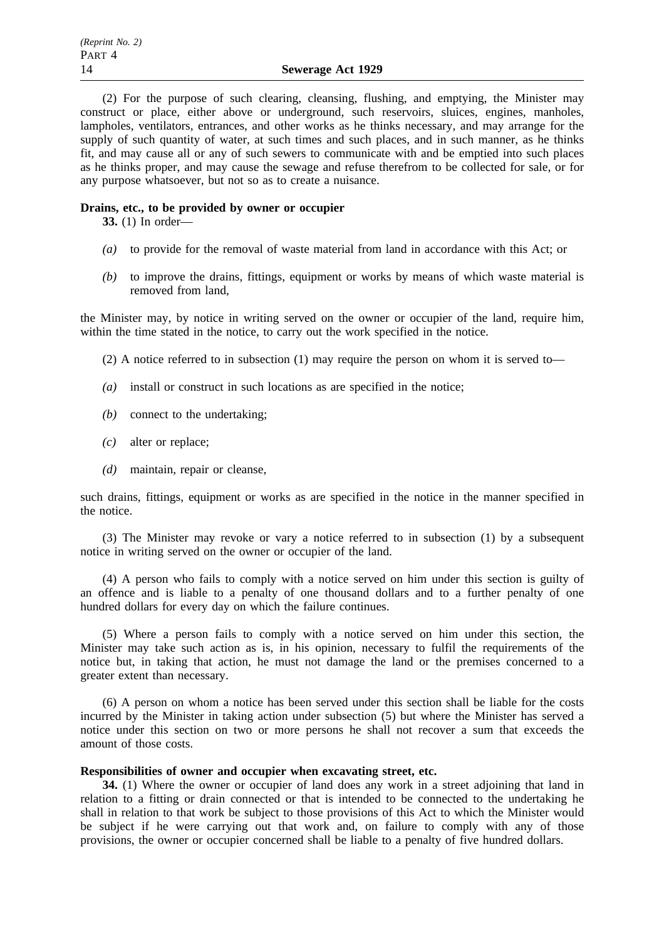(2) For the purpose of such clearing, cleansing, flushing, and emptying, the Minister may construct or place, either above or underground, such reservoirs, sluices, engines, manholes, lampholes, ventilators, entrances, and other works as he thinks necessary, and may arrange for the supply of such quantity of water, at such times and such places, and in such manner, as he thinks fit, and may cause all or any of such sewers to communicate with and be emptied into such places as he thinks proper, and may cause the sewage and refuse therefrom to be collected for sale, or for any purpose whatsoever, but not so as to create a nuisance.

## **Drains, etc., to be provided by owner or occupier**

**33.** (1) In order—

- *(a)* to provide for the removal of waste material from land in accordance with this Act; or
- *(b)* to improve the drains, fittings, equipment or works by means of which waste material is removed from land,

the Minister may, by notice in writing served on the owner or occupier of the land, require him, within the time stated in the notice, to carry out the work specified in the notice.

(2) A notice referred to in subsection (1) may require the person on whom it is served to—

- *(a)* install or construct in such locations as are specified in the notice;
- *(b)* connect to the undertaking;
- *(c)* alter or replace;
- *(d)* maintain, repair or cleanse,

such drains, fittings, equipment or works as are specified in the notice in the manner specified in the notice.

(3) The Minister may revoke or vary a notice referred to in subsection (1) by a subsequent notice in writing served on the owner or occupier of the land.

(4) A person who fails to comply with a notice served on him under this section is guilty of an offence and is liable to a penalty of one thousand dollars and to a further penalty of one hundred dollars for every day on which the failure continues.

(5) Where a person fails to comply with a notice served on him under this section, the Minister may take such action as is, in his opinion, necessary to fulfil the requirements of the notice but, in taking that action, he must not damage the land or the premises concerned to a greater extent than necessary.

(6) A person on whom a notice has been served under this section shall be liable for the costs incurred by the Minister in taking action under subsection (5) but where the Minister has served a notice under this section on two or more persons he shall not recover a sum that exceeds the amount of those costs.

## **Responsibilities of owner and occupier when excavating street, etc.**

**34.** (1) Where the owner or occupier of land does any work in a street adjoining that land in relation to a fitting or drain connected or that is intended to be connected to the undertaking he shall in relation to that work be subject to those provisions of this Act to which the Minister would be subject if he were carrying out that work and, on failure to comply with any of those provisions, the owner or occupier concerned shall be liable to a penalty of five hundred dollars.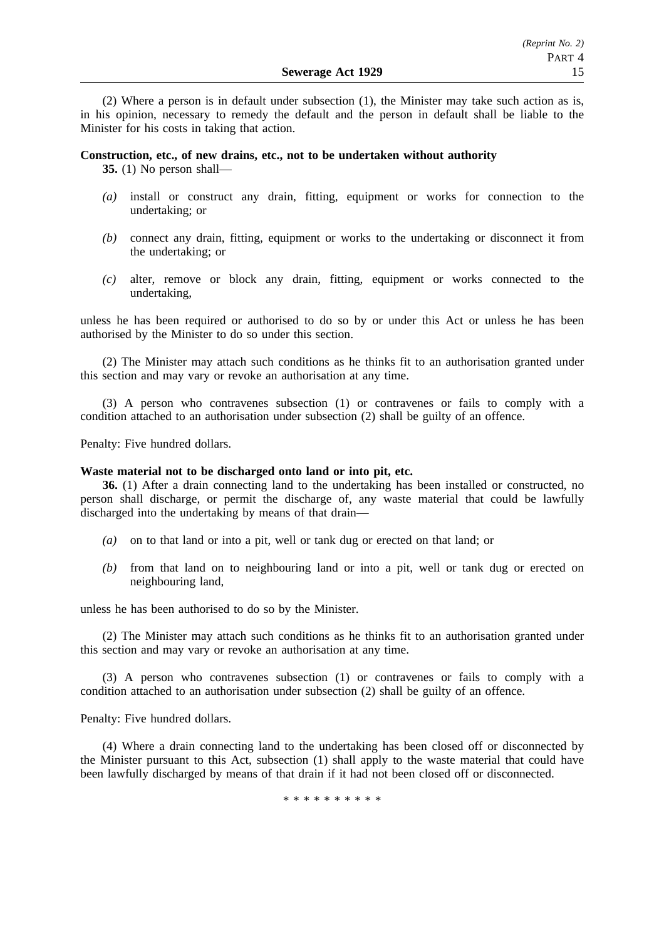(2) Where a person is in default under subsection (1), the Minister may take such action as is, in his opinion, necessary to remedy the default and the person in default shall be liable to the Minister for his costs in taking that action.

## **Construction, etc., of new drains, etc., not to be undertaken without authority**

**35.** (1) No person shall—

- *(a)* install or construct any drain, fitting, equipment or works for connection to the undertaking; or
- *(b)* connect any drain, fitting, equipment or works to the undertaking or disconnect it from the undertaking; or
- *(c)* alter, remove or block any drain, fitting, equipment or works connected to the undertaking,

unless he has been required or authorised to do so by or under this Act or unless he has been authorised by the Minister to do so under this section.

(2) The Minister may attach such conditions as he thinks fit to an authorisation granted under this section and may vary or revoke an authorisation at any time.

(3) A person who contravenes subsection (1) or contravenes or fails to comply with a condition attached to an authorisation under subsection (2) shall be guilty of an offence.

Penalty: Five hundred dollars.

## **Waste material not to be discharged onto land or into pit, etc.**

**36.** (1) After a drain connecting land to the undertaking has been installed or constructed, no person shall discharge, or permit the discharge of, any waste material that could be lawfully discharged into the undertaking by means of that drain—

- *(a)* on to that land or into a pit, well or tank dug or erected on that land; or
- *(b)* from that land on to neighbouring land or into a pit, well or tank dug or erected on neighbouring land,

unless he has been authorised to do so by the Minister.

(2) The Minister may attach such conditions as he thinks fit to an authorisation granted under this section and may vary or revoke an authorisation at any time.

(3) A person who contravenes subsection (1) or contravenes or fails to comply with a condition attached to an authorisation under subsection (2) shall be guilty of an offence.

Penalty: Five hundred dollars.

(4) Where a drain connecting land to the undertaking has been closed off or disconnected by the Minister pursuant to this Act, subsection (1) shall apply to the waste material that could have been lawfully discharged by means of that drain if it had not been closed off or disconnected.

\*\*\*\*\*\*\*\*\*\*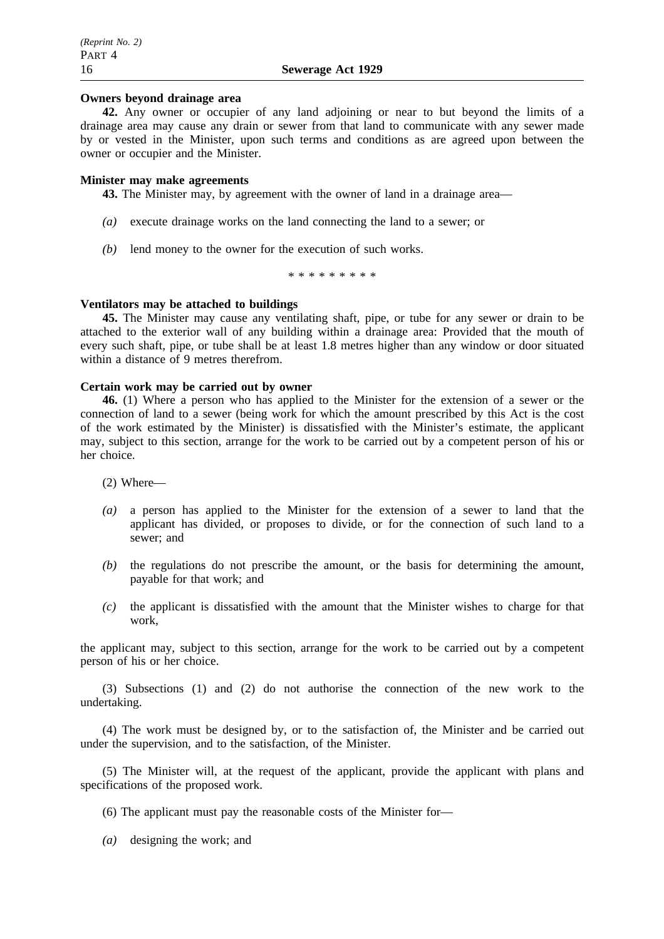## **Owners beyond drainage area**

**42.** Any owner or occupier of any land adjoining or near to but beyond the limits of a drainage area may cause any drain or sewer from that land to communicate with any sewer made by or vested in the Minister, upon such terms and conditions as are agreed upon between the owner or occupier and the Minister.

## **Minister may make agreements**

**43.** The Minister may, by agreement with the owner of land in a drainage area—

- *(a)* execute drainage works on the land connecting the land to a sewer; or
- *(b)* lend money to the owner for the execution of such works.

\*\*\*\*\*\*\*\*\*

## **Ventilators may be attached to buildings**

**45.** The Minister may cause any ventilating shaft, pipe, or tube for any sewer or drain to be attached to the exterior wall of any building within a drainage area: Provided that the mouth of every such shaft, pipe, or tube shall be at least 1.8 metres higher than any window or door situated within a distance of 9 metres therefrom.

## **Certain work may be carried out by owner**

**46.** (1) Where a person who has applied to the Minister for the extension of a sewer or the connection of land to a sewer (being work for which the amount prescribed by this Act is the cost of the work estimated by the Minister) is dissatisfied with the Minister's estimate, the applicant may, subject to this section, arrange for the work to be carried out by a competent person of his or her choice.

(2) Where—

- *(a)* a person has applied to the Minister for the extension of a sewer to land that the applicant has divided, or proposes to divide, or for the connection of such land to a sewer; and
- *(b)* the regulations do not prescribe the amount, or the basis for determining the amount, payable for that work; and
- *(c)* the applicant is dissatisfied with the amount that the Minister wishes to charge for that work,

the applicant may, subject to this section, arrange for the work to be carried out by a competent person of his or her choice.

(3) Subsections (1) and (2) do not authorise the connection of the new work to the undertaking.

(4) The work must be designed by, or to the satisfaction of, the Minister and be carried out under the supervision, and to the satisfaction, of the Minister.

(5) The Minister will, at the request of the applicant, provide the applicant with plans and specifications of the proposed work.

- (6) The applicant must pay the reasonable costs of the Minister for—
- *(a)* designing the work; and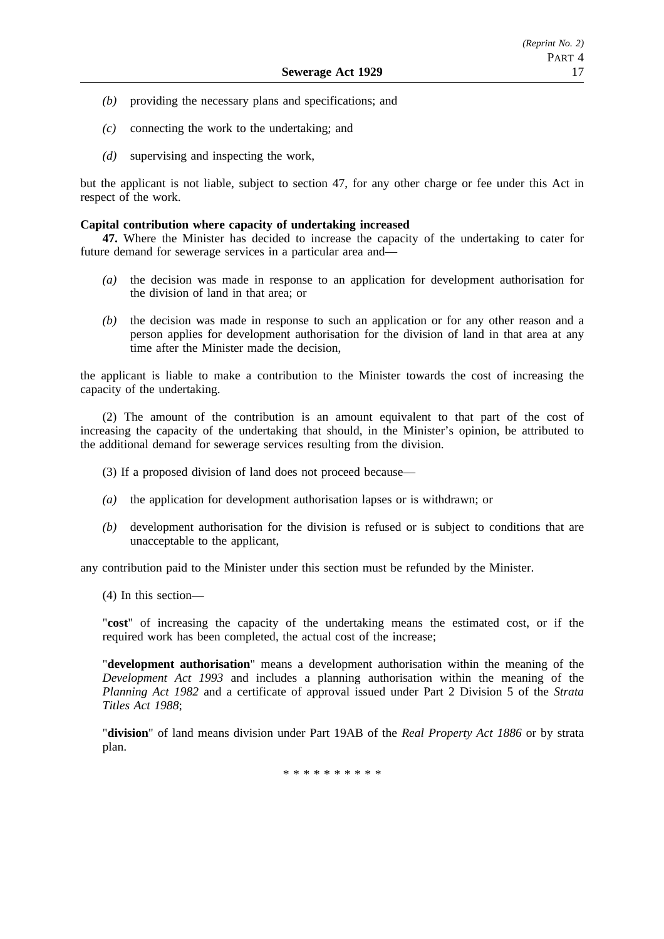- *(b)* providing the necessary plans and specifications; and
- *(c)* connecting the work to the undertaking; and
- *(d)* supervising and inspecting the work,

but the applicant is not liable, subject to section 47, for any other charge or fee under this Act in respect of the work.

## **Capital contribution where capacity of undertaking increased**

**47.** Where the Minister has decided to increase the capacity of the undertaking to cater for future demand for sewerage services in a particular area and—

- *(a)* the decision was made in response to an application for development authorisation for the division of land in that area; or
- *(b)* the decision was made in response to such an application or for any other reason and a person applies for development authorisation for the division of land in that area at any time after the Minister made the decision.

the applicant is liable to make a contribution to the Minister towards the cost of increasing the capacity of the undertaking.

(2) The amount of the contribution is an amount equivalent to that part of the cost of increasing the capacity of the undertaking that should, in the Minister's opinion, be attributed to the additional demand for sewerage services resulting from the division.

(3) If a proposed division of land does not proceed because—

- *(a)* the application for development authorisation lapses or is withdrawn; or
- *(b)* development authorisation for the division is refused or is subject to conditions that are unacceptable to the applicant,

any contribution paid to the Minister under this section must be refunded by the Minister.

(4) In this section—

"**cost**" of increasing the capacity of the undertaking means the estimated cost, or if the required work has been completed, the actual cost of the increase;

"**development authorisation**" means a development authorisation within the meaning of the *Development Act 1993* and includes a planning authorisation within the meaning of the *Planning Act 1982* and a certificate of approval issued under Part 2 Division 5 of the *Strata Titles Act 1988*;

"**division**" of land means division under Part 19AB of the *Real Property Act 1886* or by strata plan.

\*\*\*\*\*\*\*\*\*\*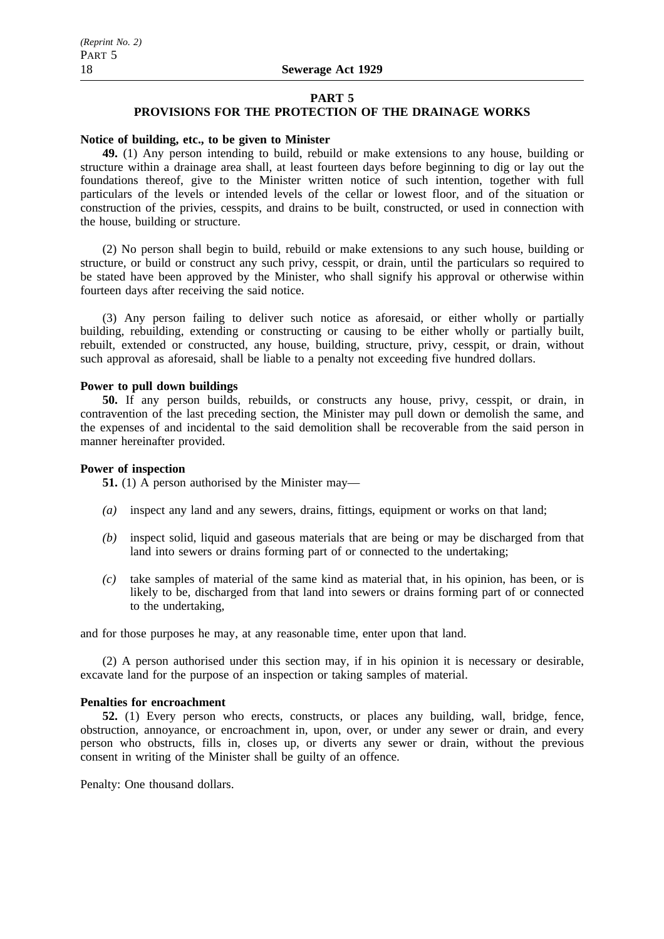## **PART 5**

# **PROVISIONS FOR THE PROTECTION OF THE DRAINAGE WORKS**

## **Notice of building, etc., to be given to Minister**

**49.** (1) Any person intending to build, rebuild or make extensions to any house, building or structure within a drainage area shall, at least fourteen days before beginning to dig or lay out the foundations thereof, give to the Minister written notice of such intention, together with full particulars of the levels or intended levels of the cellar or lowest floor, and of the situation or construction of the privies, cesspits, and drains to be built, constructed, or used in connection with the house, building or structure.

(2) No person shall begin to build, rebuild or make extensions to any such house, building or structure, or build or construct any such privy, cesspit, or drain, until the particulars so required to be stated have been approved by the Minister, who shall signify his approval or otherwise within fourteen days after receiving the said notice.

(3) Any person failing to deliver such notice as aforesaid, or either wholly or partially building, rebuilding, extending or constructing or causing to be either wholly or partially built, rebuilt, extended or constructed, any house, building, structure, privy, cesspit, or drain, without such approval as aforesaid, shall be liable to a penalty not exceeding five hundred dollars.

## **Power to pull down buildings**

**50.** If any person builds, rebuilds, or constructs any house, privy, cesspit, or drain, in contravention of the last preceding section, the Minister may pull down or demolish the same, and the expenses of and incidental to the said demolition shall be recoverable from the said person in manner hereinafter provided.

## **Power of inspection**

**51.** (1) A person authorised by the Minister may—

- *(a)* inspect any land and any sewers, drains, fittings, equipment or works on that land;
- *(b)* inspect solid, liquid and gaseous materials that are being or may be discharged from that land into sewers or drains forming part of or connected to the undertaking;
- *(c)* take samples of material of the same kind as material that, in his opinion, has been, or is likely to be, discharged from that land into sewers or drains forming part of or connected to the undertaking,

and for those purposes he may, at any reasonable time, enter upon that land.

(2) A person authorised under this section may, if in his opinion it is necessary or desirable, excavate land for the purpose of an inspection or taking samples of material.

## **Penalties for encroachment**

**52.** (1) Every person who erects, constructs, or places any building, wall, bridge, fence, obstruction, annoyance, or encroachment in, upon, over, or under any sewer or drain, and every person who obstructs, fills in, closes up, or diverts any sewer or drain, without the previous consent in writing of the Minister shall be guilty of an offence.

Penalty: One thousand dollars.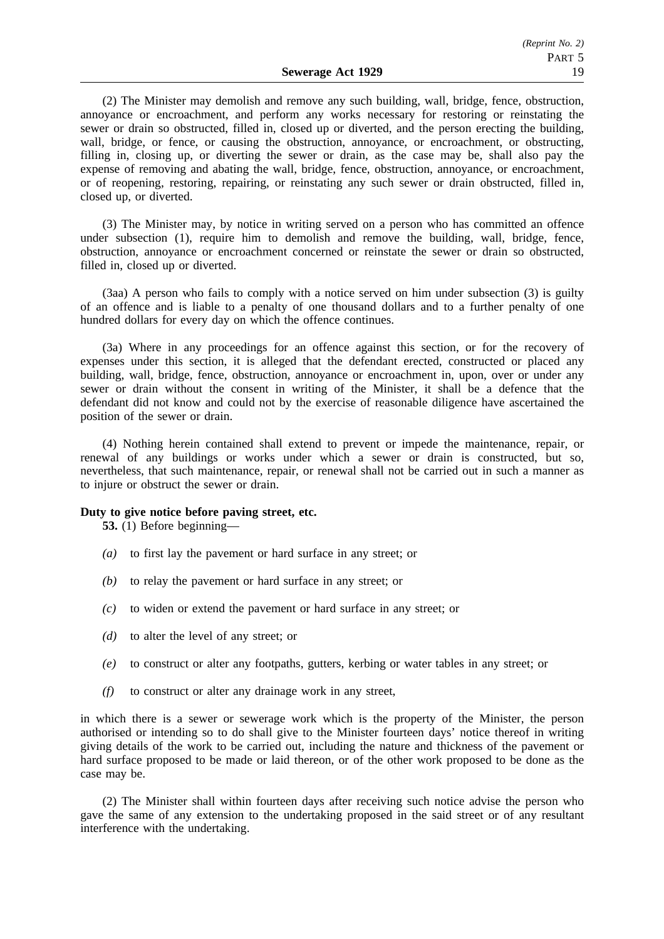(2) The Minister may demolish and remove any such building, wall, bridge, fence, obstruction, annoyance or encroachment, and perform any works necessary for restoring or reinstating the sewer or drain so obstructed, filled in, closed up or diverted, and the person erecting the building, wall, bridge, or fence, or causing the obstruction, annoyance, or encroachment, or obstructing, filling in, closing up, or diverting the sewer or drain, as the case may be, shall also pay the expense of removing and abating the wall, bridge, fence, obstruction, annoyance, or encroachment, or of reopening, restoring, repairing, or reinstating any such sewer or drain obstructed, filled in, closed up, or diverted.

(3) The Minister may, by notice in writing served on a person who has committed an offence under subsection (1), require him to demolish and remove the building, wall, bridge, fence, obstruction, annoyance or encroachment concerned or reinstate the sewer or drain so obstructed, filled in, closed up or diverted.

(3aa) A person who fails to comply with a notice served on him under subsection (3) is guilty of an offence and is liable to a penalty of one thousand dollars and to a further penalty of one hundred dollars for every day on which the offence continues.

(3a) Where in any proceedings for an offence against this section, or for the recovery of expenses under this section, it is alleged that the defendant erected, constructed or placed any building, wall, bridge, fence, obstruction, annoyance or encroachment in, upon, over or under any sewer or drain without the consent in writing of the Minister, it shall be a defence that the defendant did not know and could not by the exercise of reasonable diligence have ascertained the position of the sewer or drain.

(4) Nothing herein contained shall extend to prevent or impede the maintenance, repair, or renewal of any buildings or works under which a sewer or drain is constructed, but so, nevertheless, that such maintenance, repair, or renewal shall not be carried out in such a manner as to injure or obstruct the sewer or drain.

## **Duty to give notice before paving street, etc.**

**53.** (1) Before beginning—

- *(a)* to first lay the pavement or hard surface in any street; or
- *(b)* to relay the pavement or hard surface in any street; or
- *(c)* to widen or extend the pavement or hard surface in any street; or
- *(d)* to alter the level of any street; or
- *(e)* to construct or alter any footpaths, gutters, kerbing or water tables in any street; or
- *(f)* to construct or alter any drainage work in any street,

in which there is a sewer or sewerage work which is the property of the Minister, the person authorised or intending so to do shall give to the Minister fourteen days' notice thereof in writing giving details of the work to be carried out, including the nature and thickness of the pavement or hard surface proposed to be made or laid thereon, or of the other work proposed to be done as the case may be.

(2) The Minister shall within fourteen days after receiving such notice advise the person who gave the same of any extension to the undertaking proposed in the said street or of any resultant interference with the undertaking.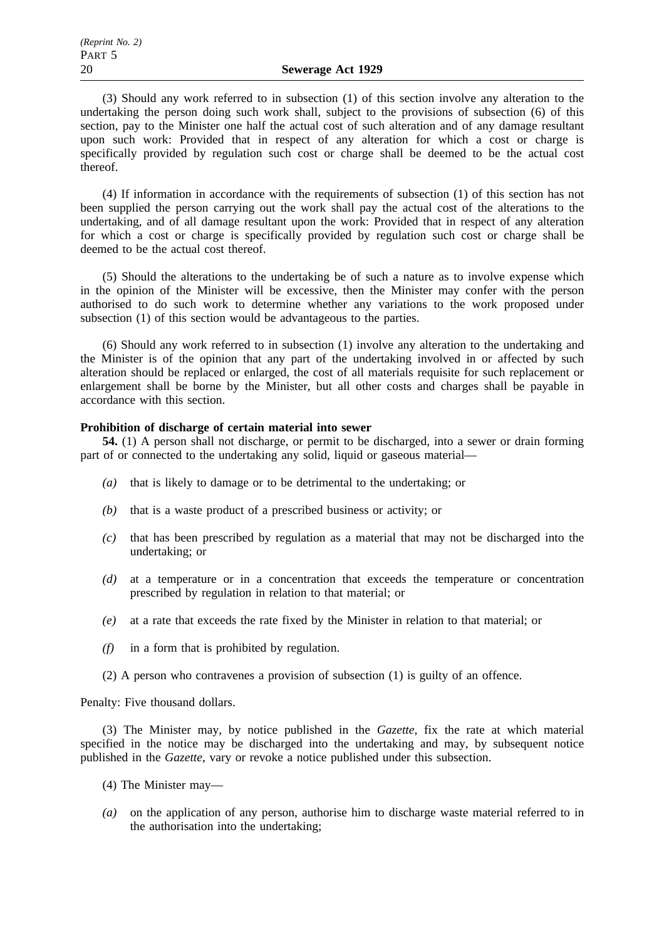(3) Should any work referred to in subsection (1) of this section involve any alteration to the undertaking the person doing such work shall, subject to the provisions of subsection (6) of this section, pay to the Minister one half the actual cost of such alteration and of any damage resultant upon such work: Provided that in respect of any alteration for which a cost or charge is specifically provided by regulation such cost or charge shall be deemed to be the actual cost thereof.

(4) If information in accordance with the requirements of subsection (1) of this section has not been supplied the person carrying out the work shall pay the actual cost of the alterations to the undertaking, and of all damage resultant upon the work: Provided that in respect of any alteration for which a cost or charge is specifically provided by regulation such cost or charge shall be deemed to be the actual cost thereof.

(5) Should the alterations to the undertaking be of such a nature as to involve expense which in the opinion of the Minister will be excessive, then the Minister may confer with the person authorised to do such work to determine whether any variations to the work proposed under subsection (1) of this section would be advantageous to the parties.

(6) Should any work referred to in subsection (1) involve any alteration to the undertaking and the Minister is of the opinion that any part of the undertaking involved in or affected by such alteration should be replaced or enlarged, the cost of all materials requisite for such replacement or enlargement shall be borne by the Minister, but all other costs and charges shall be payable in accordance with this section.

## **Prohibition of discharge of certain material into sewer**

**54.** (1) A person shall not discharge, or permit to be discharged, into a sewer or drain forming part of or connected to the undertaking any solid, liquid or gaseous material—

- *(a)* that is likely to damage or to be detrimental to the undertaking; or
- *(b)* that is a waste product of a prescribed business or activity; or
- *(c)* that has been prescribed by regulation as a material that may not be discharged into the undertaking; or
- *(d)* at a temperature or in a concentration that exceeds the temperature or concentration prescribed by regulation in relation to that material; or
- *(e)* at a rate that exceeds the rate fixed by the Minister in relation to that material; or
- *(f)* in a form that is prohibited by regulation.
- (2) A person who contravenes a provision of subsection (1) is guilty of an offence.

Penalty: Five thousand dollars.

(3) The Minister may, by notice published in the *Gazette*, fix the rate at which material specified in the notice may be discharged into the undertaking and may, by subsequent notice published in the *Gazette*, vary or revoke a notice published under this subsection.

- (4) The Minister may—
- *(a)* on the application of any person, authorise him to discharge waste material referred to in the authorisation into the undertaking;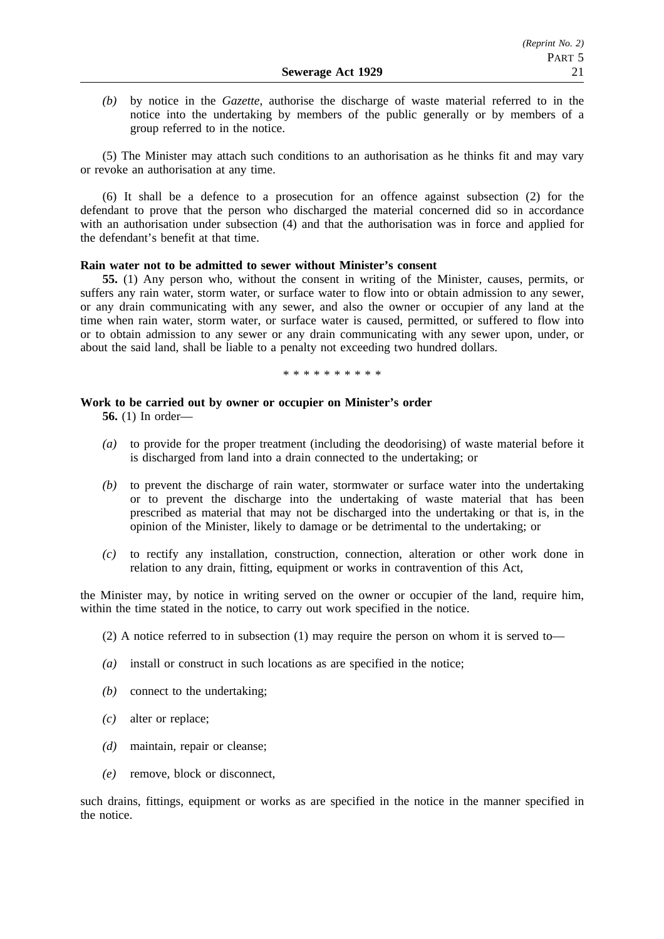*(b)* by notice in the *Gazette*, authorise the discharge of waste material referred to in the notice into the undertaking by members of the public generally or by members of a group referred to in the notice.

(5) The Minister may attach such conditions to an authorisation as he thinks fit and may vary or revoke an authorisation at any time.

(6) It shall be a defence to a prosecution for an offence against subsection (2) for the defendant to prove that the person who discharged the material concerned did so in accordance with an authorisation under subsection (4) and that the authorisation was in force and applied for the defendant's benefit at that time.

## **Rain water not to be admitted to sewer without Minister's consent**

**55.** (1) Any person who, without the consent in writing of the Minister, causes, permits, or suffers any rain water, storm water, or surface water to flow into or obtain admission to any sewer, or any drain communicating with any sewer, and also the owner or occupier of any land at the time when rain water, storm water, or surface water is caused, permitted, or suffered to flow into or to obtain admission to any sewer or any drain communicating with any sewer upon, under, or about the said land, shall be liable to a penalty not exceeding two hundred dollars.

\*\*\*\*\*\*\*\*\*\*

## **Work to be carried out by owner or occupier on Minister's order**

**56.** (1) In order—

- *(a)* to provide for the proper treatment (including the deodorising) of waste material before it is discharged from land into a drain connected to the undertaking; or
- *(b)* to prevent the discharge of rain water, stormwater or surface water into the undertaking or to prevent the discharge into the undertaking of waste material that has been prescribed as material that may not be discharged into the undertaking or that is, in the opinion of the Minister, likely to damage or be detrimental to the undertaking; or
- *(c)* to rectify any installation, construction, connection, alteration or other work done in relation to any drain, fitting, equipment or works in contravention of this Act,

the Minister may, by notice in writing served on the owner or occupier of the land, require him, within the time stated in the notice, to carry out work specified in the notice.

(2) A notice referred to in subsection (1) may require the person on whom it is served to—

- *(a)* install or construct in such locations as are specified in the notice;
- *(b)* connect to the undertaking;
- *(c)* alter or replace;
- *(d)* maintain, repair or cleanse;
- *(e)* remove, block or disconnect,

such drains, fittings, equipment or works as are specified in the notice in the manner specified in the notice.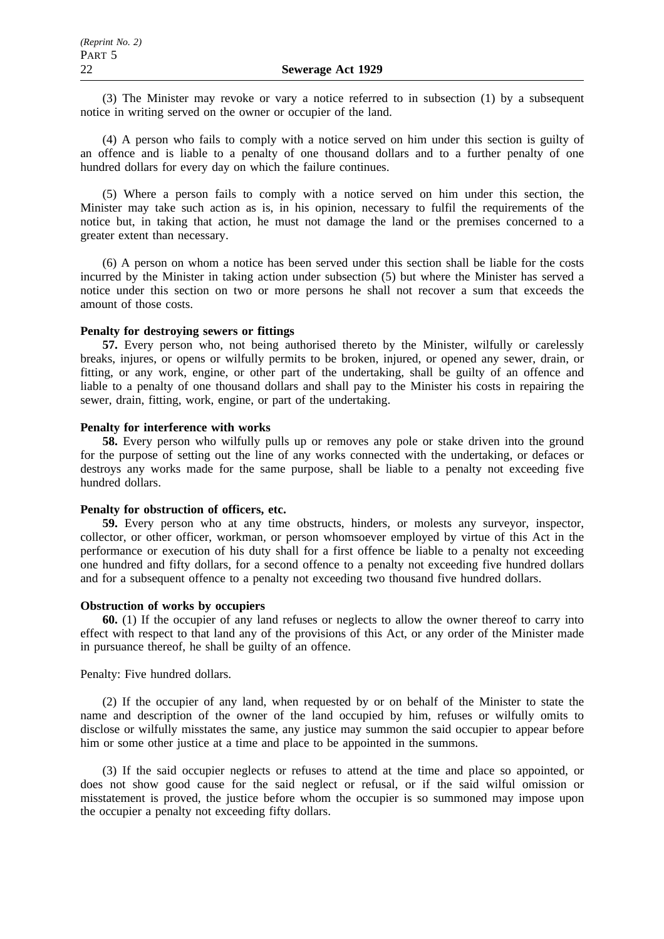(3) The Minister may revoke or vary a notice referred to in subsection (1) by a subsequent notice in writing served on the owner or occupier of the land.

(4) A person who fails to comply with a notice served on him under this section is guilty of an offence and is liable to a penalty of one thousand dollars and to a further penalty of one hundred dollars for every day on which the failure continues.

(5) Where a person fails to comply with a notice served on him under this section, the Minister may take such action as is, in his opinion, necessary to fulfil the requirements of the notice but, in taking that action, he must not damage the land or the premises concerned to a greater extent than necessary.

(6) A person on whom a notice has been served under this section shall be liable for the costs incurred by the Minister in taking action under subsection (5) but where the Minister has served a notice under this section on two or more persons he shall not recover a sum that exceeds the amount of those costs.

## **Penalty for destroying sewers or fittings**

**57.** Every person who, not being authorised thereto by the Minister, wilfully or carelessly breaks, injures, or opens or wilfully permits to be broken, injured, or opened any sewer, drain, or fitting, or any work, engine, or other part of the undertaking, shall be guilty of an offence and liable to a penalty of one thousand dollars and shall pay to the Minister his costs in repairing the sewer, drain, fitting, work, engine, or part of the undertaking.

## **Penalty for interference with works**

**58.** Every person who wilfully pulls up or removes any pole or stake driven into the ground for the purpose of setting out the line of any works connected with the undertaking, or defaces or destroys any works made for the same purpose, shall be liable to a penalty not exceeding five hundred dollars.

## **Penalty for obstruction of officers, etc.**

**59.** Every person who at any time obstructs, hinders, or molests any surveyor, inspector, collector, or other officer, workman, or person whomsoever employed by virtue of this Act in the performance or execution of his duty shall for a first offence be liable to a penalty not exceeding one hundred and fifty dollars, for a second offence to a penalty not exceeding five hundred dollars and for a subsequent offence to a penalty not exceeding two thousand five hundred dollars.

## **Obstruction of works by occupiers**

**60.** (1) If the occupier of any land refuses or neglects to allow the owner thereof to carry into effect with respect to that land any of the provisions of this Act, or any order of the Minister made in pursuance thereof, he shall be guilty of an offence.

## Penalty: Five hundred dollars.

(2) If the occupier of any land, when requested by or on behalf of the Minister to state the name and description of the owner of the land occupied by him, refuses or wilfully omits to disclose or wilfully misstates the same, any justice may summon the said occupier to appear before him or some other justice at a time and place to be appointed in the summons.

(3) If the said occupier neglects or refuses to attend at the time and place so appointed, or does not show good cause for the said neglect or refusal, or if the said wilful omission or misstatement is proved, the justice before whom the occupier is so summoned may impose upon the occupier a penalty not exceeding fifty dollars.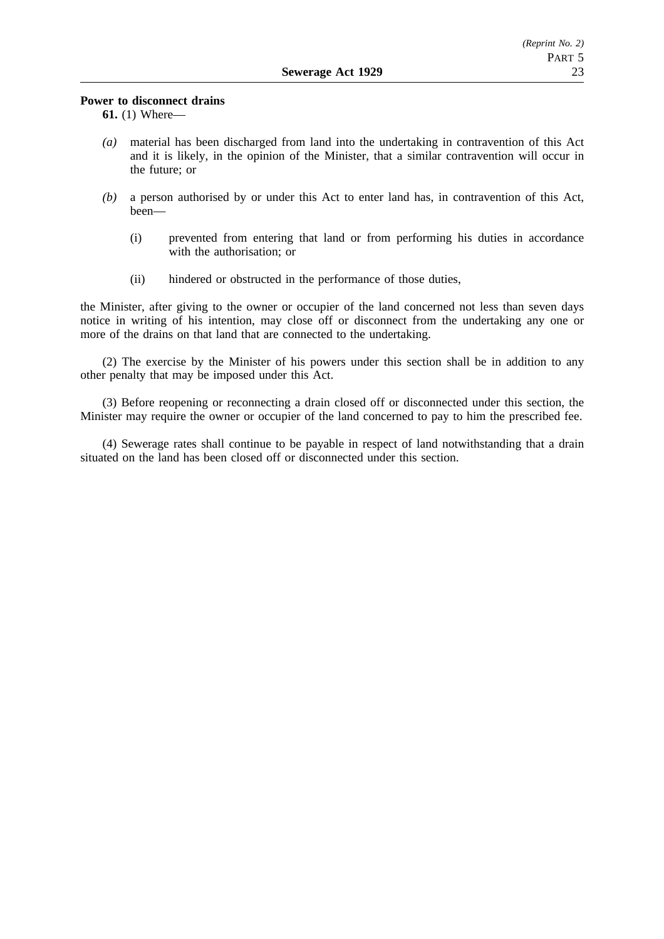## **Power to disconnect drains**

**61.** (1) Where—

- *(a)* material has been discharged from land into the undertaking in contravention of this Act and it is likely, in the opinion of the Minister, that a similar contravention will occur in the future; or
- *(b)* a person authorised by or under this Act to enter land has, in contravention of this Act, been—
	- (i) prevented from entering that land or from performing his duties in accordance with the authorisation; or
	- (ii) hindered or obstructed in the performance of those duties,

the Minister, after giving to the owner or occupier of the land concerned not less than seven days notice in writing of his intention, may close off or disconnect from the undertaking any one or more of the drains on that land that are connected to the undertaking.

(2) The exercise by the Minister of his powers under this section shall be in addition to any other penalty that may be imposed under this Act.

(3) Before reopening or reconnecting a drain closed off or disconnected under this section, the Minister may require the owner or occupier of the land concerned to pay to him the prescribed fee.

(4) Sewerage rates shall continue to be payable in respect of land notwithstanding that a drain situated on the land has been closed off or disconnected under this section.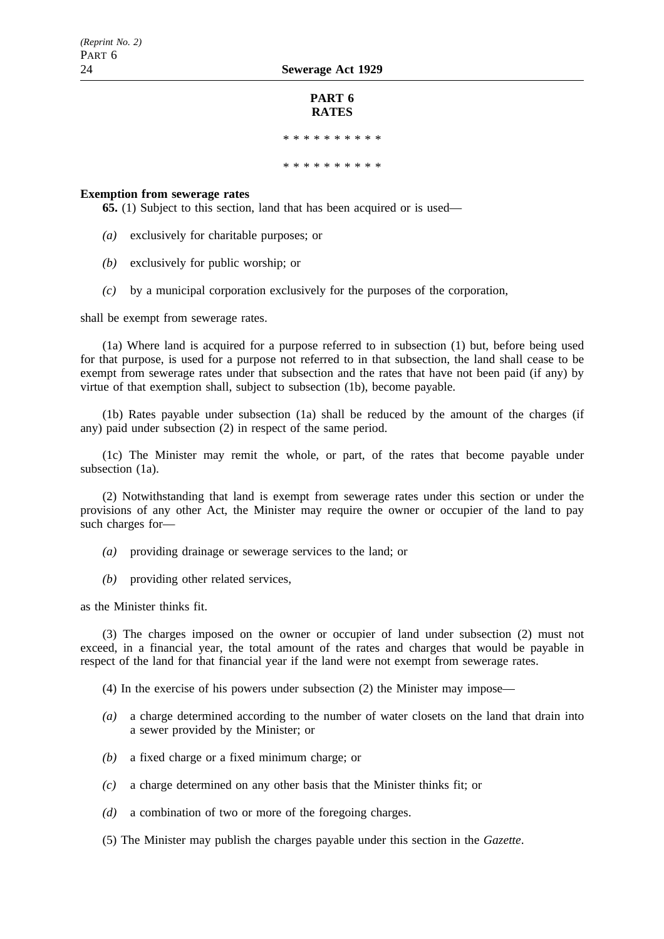## **PART 6 RATES**

\*\*\*\*\*\*\*\*\*\*

\*\*\*\*\*\*\*\*\*\*\*\*\*\*\*\*

## **Exemption from sewerage rates**

**65.** (1) Subject to this section, land that has been acquired or is used—

- *(a)* exclusively for charitable purposes; or
- *(b)* exclusively for public worship; or
- *(c)* by a municipal corporation exclusively for the purposes of the corporation,

shall be exempt from sewerage rates.

(1a) Where land is acquired for a purpose referred to in subsection (1) but, before being used for that purpose, is used for a purpose not referred to in that subsection, the land shall cease to be exempt from sewerage rates under that subsection and the rates that have not been paid (if any) by virtue of that exemption shall, subject to subsection (1b), become payable.

(1b) Rates payable under subsection (1a) shall be reduced by the amount of the charges (if any) paid under subsection (2) in respect of the same period.

(1c) The Minister may remit the whole, or part, of the rates that become payable under subsection (1a).

(2) Notwithstanding that land is exempt from sewerage rates under this section or under the provisions of any other Act, the Minister may require the owner or occupier of the land to pay such charges for—

- *(a)* providing drainage or sewerage services to the land; or
- *(b)* providing other related services,

as the Minister thinks fit.

(3) The charges imposed on the owner or occupier of land under subsection (2) must not exceed, in a financial year, the total amount of the rates and charges that would be payable in respect of the land for that financial year if the land were not exempt from sewerage rates.

(4) In the exercise of his powers under subsection (2) the Minister may impose—

- *(a)* a charge determined according to the number of water closets on the land that drain into a sewer provided by the Minister; or
- *(b)* a fixed charge or a fixed minimum charge; or
- *(c)* a charge determined on any other basis that the Minister thinks fit; or
- *(d)* a combination of two or more of the foregoing charges.

(5) The Minister may publish the charges payable under this section in the *Gazette*.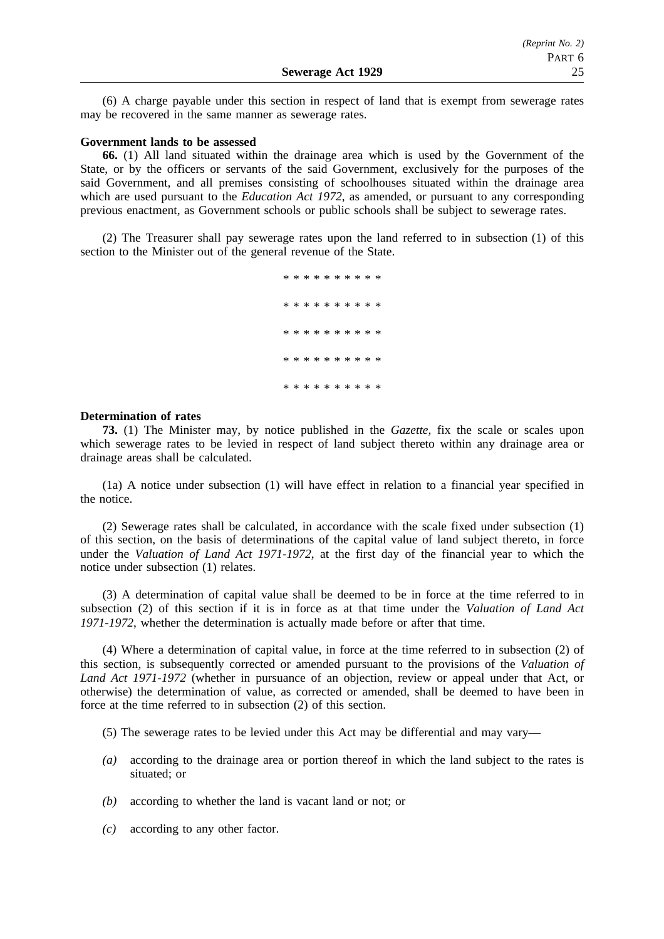(6) A charge payable under this section in respect of land that is exempt from sewerage rates may be recovered in the same manner as sewerage rates.

## **Government lands to be assessed**

**66.** (1) All land situated within the drainage area which is used by the Government of the State, or by the officers or servants of the said Government, exclusively for the purposes of the said Government, and all premises consisting of schoolhouses situated within the drainage area which are used pursuant to the *Education Act 1972*, as amended, or pursuant to any corresponding previous enactment, as Government schools or public schools shall be subject to sewerage rates.

(2) The Treasurer shall pay sewerage rates upon the land referred to in subsection (1) of this section to the Minister out of the general revenue of the State.

> \*\*\*\*\*\*\*\*\*\* \*\*\*\*\*\*\*\*\*\* \*\*\*\*\*\*\*\*\*\* \*\*\*\*\*\*\*\*\*\* \*\*\*\*\*\*\*\*\*\*

## **Determination of rates**

**73.** (1) The Minister may, by notice published in the *Gazette*, fix the scale or scales upon which sewerage rates to be levied in respect of land subject thereto within any drainage area or drainage areas shall be calculated.

(1a) A notice under subsection (1) will have effect in relation to a financial year specified in the notice.

(2) Sewerage rates shall be calculated, in accordance with the scale fixed under subsection (1) of this section, on the basis of determinations of the capital value of land subject thereto, in force under the *Valuation of Land Act 1971-1972*, at the first day of the financial year to which the notice under subsection (1) relates.

(3) A determination of capital value shall be deemed to be in force at the time referred to in subsection (2) of this section if it is in force as at that time under the *Valuation of Land Act 1971-1972*, whether the determination is actually made before or after that time.

(4) Where a determination of capital value, in force at the time referred to in subsection (2) of this section, is subsequently corrected or amended pursuant to the provisions of the *Valuation of Land Act 1971-1972* (whether in pursuance of an objection, review or appeal under that Act, or otherwise) the determination of value, as corrected or amended, shall be deemed to have been in force at the time referred to in subsection (2) of this section.

- (5) The sewerage rates to be levied under this Act may be differential and may vary—
- *(a)* according to the drainage area or portion thereof in which the land subject to the rates is situated: or
- *(b)* according to whether the land is vacant land or not; or
- *(c)* according to any other factor.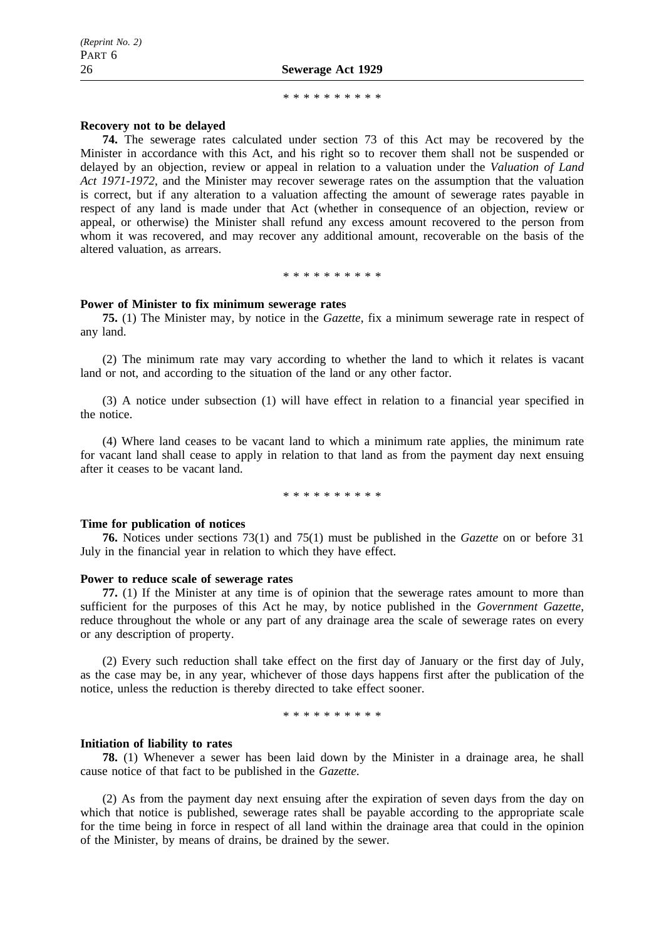## 26 **Sewerage Act 1929**

#### \*\*\*\*\*\*\*\*\*\*\*\*\*\*\*\*\*\*

## **Recovery not to be delayed**

**74.** The sewerage rates calculated under section 73 of this Act may be recovered by the Minister in accordance with this Act, and his right so to recover them shall not be suspended or delayed by an objection, review or appeal in relation to a valuation under the *Valuation of Land Act 1971-1972*, and the Minister may recover sewerage rates on the assumption that the valuation is correct, but if any alteration to a valuation affecting the amount of sewerage rates payable in respect of any land is made under that Act (whether in consequence of an objection, review or appeal, or otherwise) the Minister shall refund any excess amount recovered to the person from whom it was recovered, and may recover any additional amount, recoverable on the basis of the altered valuation, as arrears.

\*\*\*\*\*\*\*\*\*\*

## **Power of Minister to fix minimum sewerage rates**

**75.** (1) The Minister may, by notice in the *Gazette*, fix a minimum sewerage rate in respect of any land.

(2) The minimum rate may vary according to whether the land to which it relates is vacant land or not, and according to the situation of the land or any other factor.

(3) A notice under subsection (1) will have effect in relation to a financial year specified in the notice.

(4) Where land ceases to be vacant land to which a minimum rate applies, the minimum rate for vacant land shall cease to apply in relation to that land as from the payment day next ensuing after it ceases to be vacant land.

\*\*\*\*\*\*\*\*\*\*

## **Time for publication of notices**

**76.** Notices under sections 73(1) and 75(1) must be published in the *Gazette* on or before 31 July in the financial year in relation to which they have effect.

## **Power to reduce scale of sewerage rates**

**77.** (1) If the Minister at any time is of opinion that the sewerage rates amount to more than sufficient for the purposes of this Act he may, by notice published in the *Government Gazette*, reduce throughout the whole or any part of any drainage area the scale of sewerage rates on every or any description of property.

(2) Every such reduction shall take effect on the first day of January or the first day of July, as the case may be, in any year, whichever of those days happens first after the publication of the notice, unless the reduction is thereby directed to take effect sooner.

\*\*\*\*\*\*\*\*\*\*

## **Initiation of liability to rates**

**78.** (1) Whenever a sewer has been laid down by the Minister in a drainage area, he shall cause notice of that fact to be published in the *Gazette*.

(2) As from the payment day next ensuing after the expiration of seven days from the day on which that notice is published, sewerage rates shall be payable according to the appropriate scale for the time being in force in respect of all land within the drainage area that could in the opinion of the Minister, by means of drains, be drained by the sewer.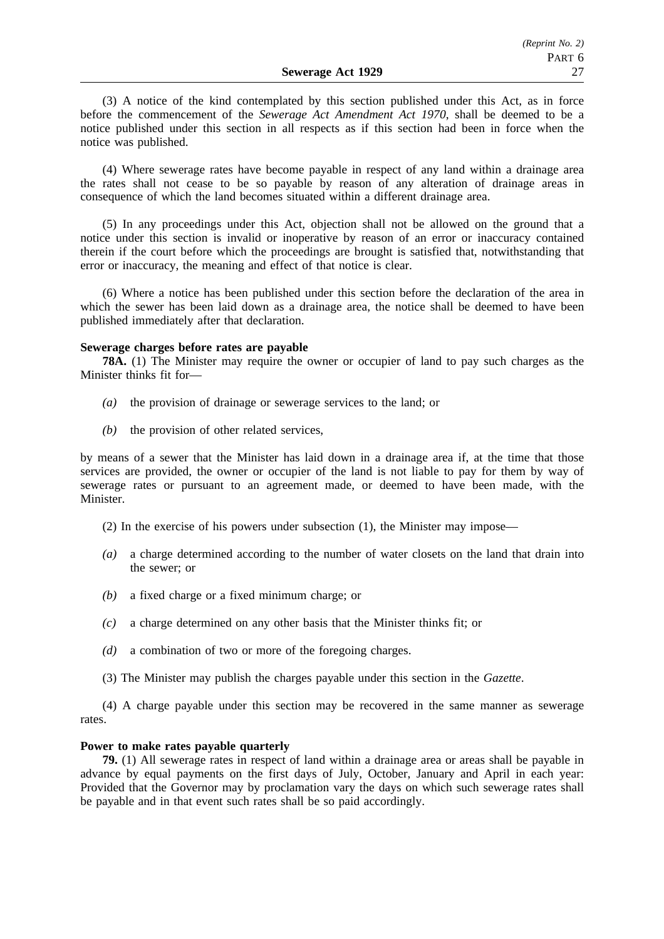(3) A notice of the kind contemplated by this section published under this Act, as in force before the commencement of the *Sewerage Act Amendment Act 1970*, shall be deemed to be a notice published under this section in all respects as if this section had been in force when the notice was published.

(4) Where sewerage rates have become payable in respect of any land within a drainage area the rates shall not cease to be so payable by reason of any alteration of drainage areas in consequence of which the land becomes situated within a different drainage area.

(5) In any proceedings under this Act, objection shall not be allowed on the ground that a notice under this section is invalid or inoperative by reason of an error or inaccuracy contained therein if the court before which the proceedings are brought is satisfied that, notwithstanding that error or inaccuracy, the meaning and effect of that notice is clear.

(6) Where a notice has been published under this section before the declaration of the area in which the sewer has been laid down as a drainage area, the notice shall be deemed to have been published immediately after that declaration.

## **Sewerage charges before rates are payable**

**78A.** (1) The Minister may require the owner or occupier of land to pay such charges as the Minister thinks fit for—

- *(a)* the provision of drainage or sewerage services to the land; or
- *(b)* the provision of other related services,

by means of a sewer that the Minister has laid down in a drainage area if, at the time that those services are provided, the owner or occupier of the land is not liable to pay for them by way of sewerage rates or pursuant to an agreement made, or deemed to have been made, with the **Minister** 

(2) In the exercise of his powers under subsection (1), the Minister may impose—

- *(a)* a charge determined according to the number of water closets on the land that drain into the sewer; or
- *(b)* a fixed charge or a fixed minimum charge; or
- *(c)* a charge determined on any other basis that the Minister thinks fit; or
- *(d)* a combination of two or more of the foregoing charges.
- (3) The Minister may publish the charges payable under this section in the *Gazette*.

(4) A charge payable under this section may be recovered in the same manner as sewerage rates.

## **Power to make rates payable quarterly**

**79.** (1) All sewerage rates in respect of land within a drainage area or areas shall be payable in advance by equal payments on the first days of July, October, January and April in each year: Provided that the Governor may by proclamation vary the days on which such sewerage rates shall be payable and in that event such rates shall be so paid accordingly.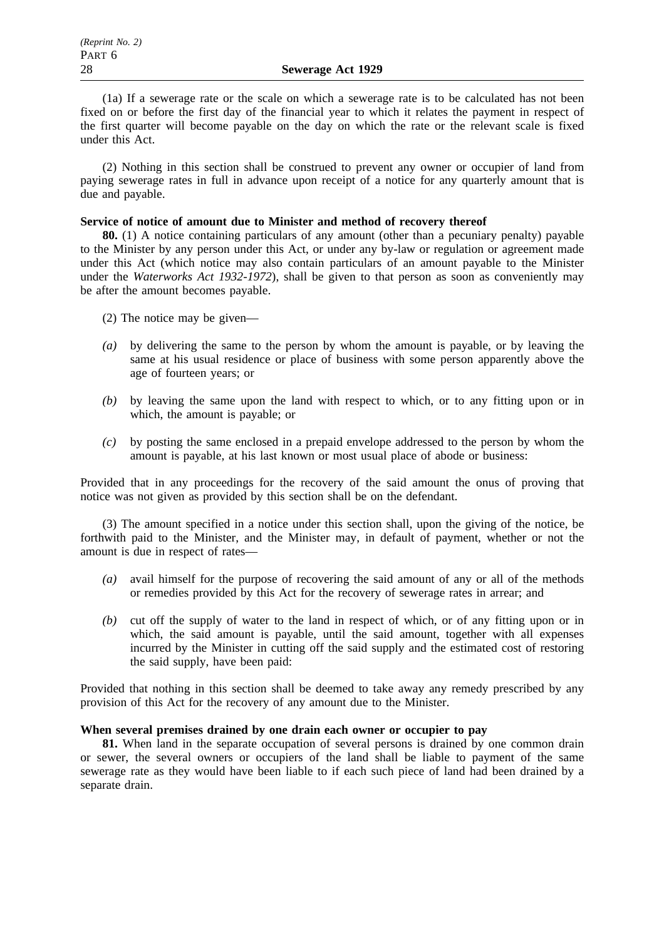(1a) If a sewerage rate or the scale on which a sewerage rate is to be calculated has not been fixed on or before the first day of the financial year to which it relates the payment in respect of the first quarter will become payable on the day on which the rate or the relevant scale is fixed under this Act.

(2) Nothing in this section shall be construed to prevent any owner or occupier of land from paying sewerage rates in full in advance upon receipt of a notice for any quarterly amount that is due and payable.

## **Service of notice of amount due to Minister and method of recovery thereof**

**80.** (1) A notice containing particulars of any amount (other than a pecuniary penalty) payable to the Minister by any person under this Act, or under any by-law or regulation or agreement made under this Act (which notice may also contain particulars of an amount payable to the Minister under the *Waterworks Act 1932-1972*), shall be given to that person as soon as conveniently may be after the amount becomes payable.

(2) The notice may be given—

- *(a)* by delivering the same to the person by whom the amount is payable, or by leaving the same at his usual residence or place of business with some person apparently above the age of fourteen years; or
- *(b)* by leaving the same upon the land with respect to which, or to any fitting upon or in which, the amount is payable; or
- *(c)* by posting the same enclosed in a prepaid envelope addressed to the person by whom the amount is payable, at his last known or most usual place of abode or business:

Provided that in any proceedings for the recovery of the said amount the onus of proving that notice was not given as provided by this section shall be on the defendant.

(3) The amount specified in a notice under this section shall, upon the giving of the notice, be forthwith paid to the Minister, and the Minister may, in default of payment, whether or not the amount is due in respect of rates—

- *(a)* avail himself for the purpose of recovering the said amount of any or all of the methods or remedies provided by this Act for the recovery of sewerage rates in arrear; and
- *(b)* cut off the supply of water to the land in respect of which, or of any fitting upon or in which, the said amount is payable, until the said amount, together with all expenses incurred by the Minister in cutting off the said supply and the estimated cost of restoring the said supply, have been paid:

Provided that nothing in this section shall be deemed to take away any remedy prescribed by any provision of this Act for the recovery of any amount due to the Minister.

## **When several premises drained by one drain each owner or occupier to pay**

**81.** When land in the separate occupation of several persons is drained by one common drain or sewer, the several owners or occupiers of the land shall be liable to payment of the same sewerage rate as they would have been liable to if each such piece of land had been drained by a separate drain.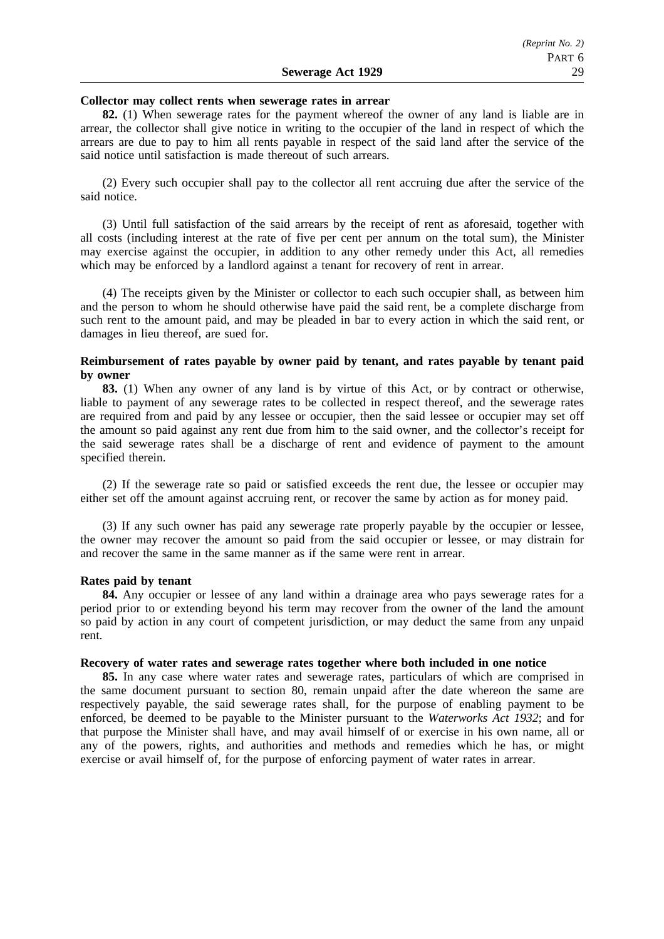#### **Collector may collect rents when sewerage rates in arrear**

**82.** (1) When sewerage rates for the payment whereof the owner of any land is liable are in arrear, the collector shall give notice in writing to the occupier of the land in respect of which the arrears are due to pay to him all rents payable in respect of the said land after the service of the said notice until satisfaction is made thereout of such arrears.

(2) Every such occupier shall pay to the collector all rent accruing due after the service of the said notice.

(3) Until full satisfaction of the said arrears by the receipt of rent as aforesaid, together with all costs (including interest at the rate of five per cent per annum on the total sum), the Minister may exercise against the occupier, in addition to any other remedy under this Act, all remedies which may be enforced by a landlord against a tenant for recovery of rent in arrear.

(4) The receipts given by the Minister or collector to each such occupier shall, as between him and the person to whom he should otherwise have paid the said rent, be a complete discharge from such rent to the amount paid, and may be pleaded in bar to every action in which the said rent, or damages in lieu thereof, are sued for.

## **Reimbursement of rates payable by owner paid by tenant, and rates payable by tenant paid by owner**

**83.** (1) When any owner of any land is by virtue of this Act, or by contract or otherwise, liable to payment of any sewerage rates to be collected in respect thereof, and the sewerage rates are required from and paid by any lessee or occupier, then the said lessee or occupier may set off the amount so paid against any rent due from him to the said owner, and the collector's receipt for the said sewerage rates shall be a discharge of rent and evidence of payment to the amount specified therein.

(2) If the sewerage rate so paid or satisfied exceeds the rent due, the lessee or occupier may either set off the amount against accruing rent, or recover the same by action as for money paid.

(3) If any such owner has paid any sewerage rate properly payable by the occupier or lessee, the owner may recover the amount so paid from the said occupier or lessee, or may distrain for and recover the same in the same manner as if the same were rent in arrear.

## **Rates paid by tenant**

**84.** Any occupier or lessee of any land within a drainage area who pays sewerage rates for a period prior to or extending beyond his term may recover from the owner of the land the amount so paid by action in any court of competent jurisdiction, or may deduct the same from any unpaid rent.

## **Recovery of water rates and sewerage rates together where both included in one notice**

**85.** In any case where water rates and sewerage rates, particulars of which are comprised in the same document pursuant to section 80, remain unpaid after the date whereon the same are respectively payable, the said sewerage rates shall, for the purpose of enabling payment to be enforced, be deemed to be payable to the Minister pursuant to the *Waterworks Act 1932*; and for that purpose the Minister shall have, and may avail himself of or exercise in his own name, all or any of the powers, rights, and authorities and methods and remedies which he has, or might exercise or avail himself of, for the purpose of enforcing payment of water rates in arrear.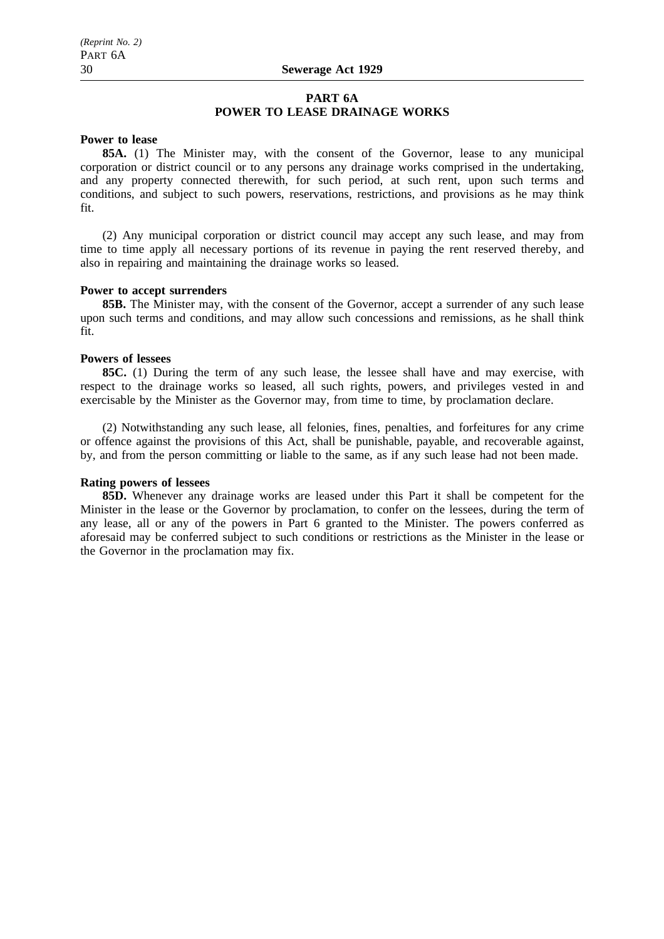## **PART 6A POWER TO LEASE DRAINAGE WORKS**

## **Power to lease**

**85A.** (1) The Minister may, with the consent of the Governor, lease to any municipal corporation or district council or to any persons any drainage works comprised in the undertaking, and any property connected therewith, for such period, at such rent, upon such terms and conditions, and subject to such powers, reservations, restrictions, and provisions as he may think fit.

(2) Any municipal corporation or district council may accept any such lease, and may from time to time apply all necessary portions of its revenue in paying the rent reserved thereby, and also in repairing and maintaining the drainage works so leased.

## **Power to accept surrenders**

**85B.** The Minister may, with the consent of the Governor, accept a surrender of any such lease upon such terms and conditions, and may allow such concessions and remissions, as he shall think fit.

## **Powers of lessees**

**85C.** (1) During the term of any such lease, the lessee shall have and may exercise, with respect to the drainage works so leased, all such rights, powers, and privileges vested in and exercisable by the Minister as the Governor may, from time to time, by proclamation declare.

(2) Notwithstanding any such lease, all felonies, fines, penalties, and forfeitures for any crime or offence against the provisions of this Act, shall be punishable, payable, and recoverable against, by, and from the person committing or liable to the same, as if any such lease had not been made.

## **Rating powers of lessees**

**85D.** Whenever any drainage works are leased under this Part it shall be competent for the Minister in the lease or the Governor by proclamation, to confer on the lessees, during the term of any lease, all or any of the powers in Part 6 granted to the Minister. The powers conferred as aforesaid may be conferred subject to such conditions or restrictions as the Minister in the lease or the Governor in the proclamation may fix.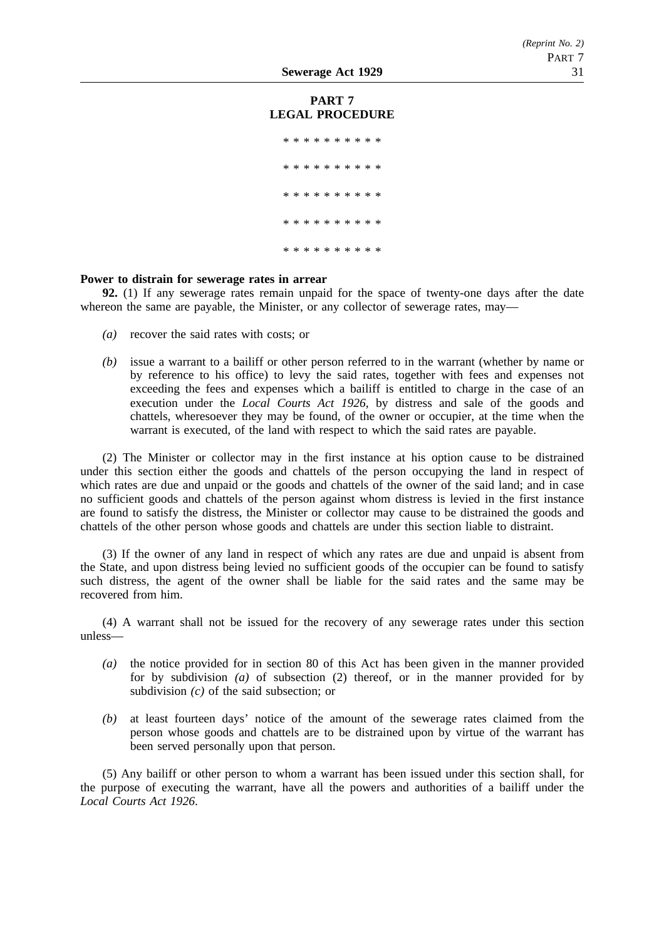## **PART 7 LEGAL PROCEDURE**

\*\*\*\*\*\*\*\*\*\*\*\*\*\*\*\*\* \*\*\*\*\*\*\*\*\*\* \*\*\*\*\*\*\*\*\*\* \*\*\*\*\*\*\*\*\*\* \*\*\*\*\*\*\*\*\*\*

## **Power to distrain for sewerage rates in arrear**

**92.** (1) If any sewerage rates remain unpaid for the space of twenty-one days after the date whereon the same are payable, the Minister, or any collector of sewerage rates, may—

- *(a)* recover the said rates with costs; or
- *(b)* issue a warrant to a bailiff or other person referred to in the warrant (whether by name or by reference to his office) to levy the said rates, together with fees and expenses not exceeding the fees and expenses which a bailiff is entitled to charge in the case of an execution under the *Local Courts Act 1926*, by distress and sale of the goods and chattels, wheresoever they may be found, of the owner or occupier, at the time when the warrant is executed, of the land with respect to which the said rates are payable.

(2) The Minister or collector may in the first instance at his option cause to be distrained under this section either the goods and chattels of the person occupying the land in respect of which rates are due and unpaid or the goods and chattels of the owner of the said land; and in case no sufficient goods and chattels of the person against whom distress is levied in the first instance are found to satisfy the distress, the Minister or collector may cause to be distrained the goods and chattels of the other person whose goods and chattels are under this section liable to distraint.

(3) If the owner of any land in respect of which any rates are due and unpaid is absent from the State, and upon distress being levied no sufficient goods of the occupier can be found to satisfy such distress, the agent of the owner shall be liable for the said rates and the same may be recovered from him.

(4) A warrant shall not be issued for the recovery of any sewerage rates under this section unless—

- *(a)* the notice provided for in section 80 of this Act has been given in the manner provided for by subdivision *(a)* of subsection (2) thereof, or in the manner provided for by subdivision *(c)* of the said subsection; or
- *(b)* at least fourteen days' notice of the amount of the sewerage rates claimed from the person whose goods and chattels are to be distrained upon by virtue of the warrant has been served personally upon that person.

(5) Any bailiff or other person to whom a warrant has been issued under this section shall, for the purpose of executing the warrant, have all the powers and authorities of a bailiff under the *Local Courts Act 1926*.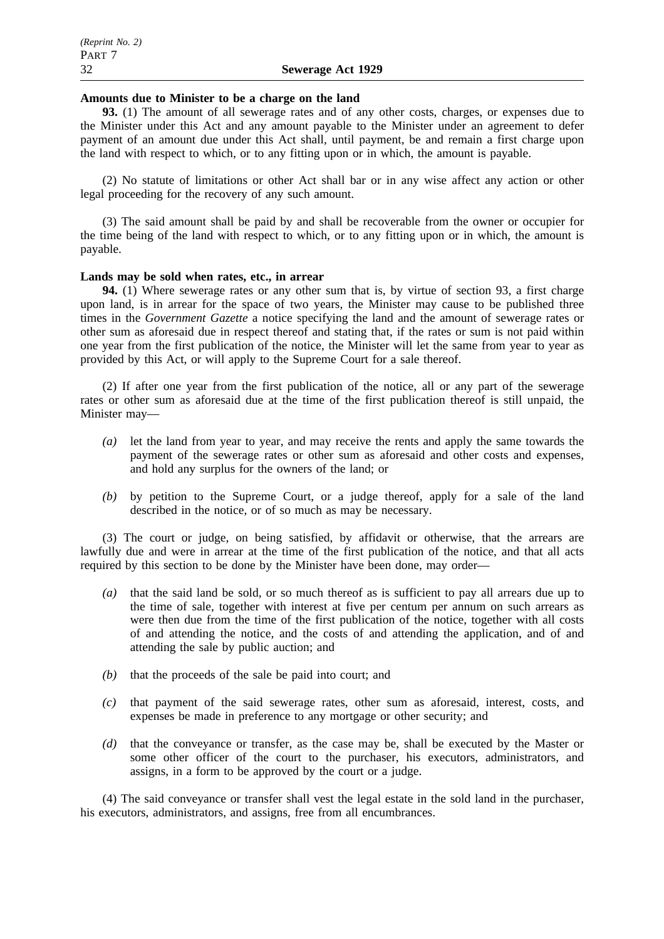## **Amounts due to Minister to be a charge on the land**

**93.** (1) The amount of all sewerage rates and of any other costs, charges, or expenses due to the Minister under this Act and any amount payable to the Minister under an agreement to defer payment of an amount due under this Act shall, until payment, be and remain a first charge upon the land with respect to which, or to any fitting upon or in which, the amount is payable.

(2) No statute of limitations or other Act shall bar or in any wise affect any action or other legal proceeding for the recovery of any such amount.

(3) The said amount shall be paid by and shall be recoverable from the owner or occupier for the time being of the land with respect to which, or to any fitting upon or in which, the amount is payable.

## **Lands may be sold when rates, etc., in arrear**

**94.** (1) Where sewerage rates or any other sum that is, by virtue of section 93, a first charge upon land, is in arrear for the space of two years, the Minister may cause to be published three times in the *Government Gazette* a notice specifying the land and the amount of sewerage rates or other sum as aforesaid due in respect thereof and stating that, if the rates or sum is not paid within one year from the first publication of the notice, the Minister will let the same from year to year as provided by this Act, or will apply to the Supreme Court for a sale thereof.

(2) If after one year from the first publication of the notice, all or any part of the sewerage rates or other sum as aforesaid due at the time of the first publication thereof is still unpaid, the Minister may—

- *(a)* let the land from year to year, and may receive the rents and apply the same towards the payment of the sewerage rates or other sum as aforesaid and other costs and expenses, and hold any surplus for the owners of the land; or
- *(b)* by petition to the Supreme Court, or a judge thereof, apply for a sale of the land described in the notice, or of so much as may be necessary.

(3) The court or judge, on being satisfied, by affidavit or otherwise, that the arrears are lawfully due and were in arrear at the time of the first publication of the notice, and that all acts required by this section to be done by the Minister have been done, may order—

- *(a)* that the said land be sold, or so much thereof as is sufficient to pay all arrears due up to the time of sale, together with interest at five per centum per annum on such arrears as were then due from the time of the first publication of the notice, together with all costs of and attending the notice, and the costs of and attending the application, and of and attending the sale by public auction; and
- *(b)* that the proceeds of the sale be paid into court; and
- *(c)* that payment of the said sewerage rates, other sum as aforesaid, interest, costs, and expenses be made in preference to any mortgage or other security; and
- *(d)* that the conveyance or transfer, as the case may be, shall be executed by the Master or some other officer of the court to the purchaser, his executors, administrators, and assigns, in a form to be approved by the court or a judge.

(4) The said conveyance or transfer shall vest the legal estate in the sold land in the purchaser, his executors, administrators, and assigns, free from all encumbrances.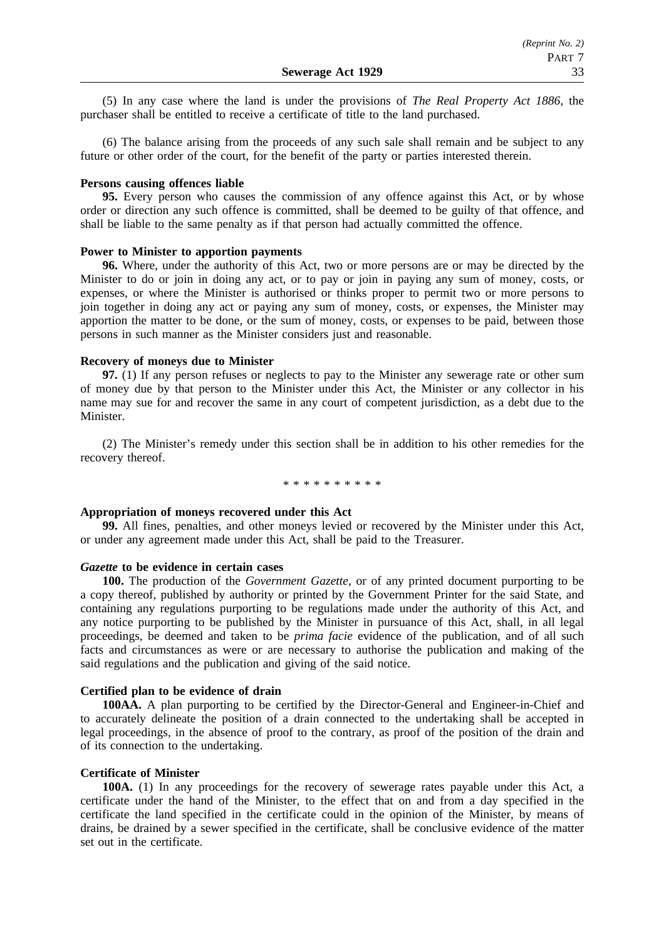(5) In any case where the land is under the provisions of *The Real Property Act 1886*, the purchaser shall be entitled to receive a certificate of title to the land purchased.

(6) The balance arising from the proceeds of any such sale shall remain and be subject to any future or other order of the court, for the benefit of the party or parties interested therein.

#### **Persons causing offences liable**

**95.** Every person who causes the commission of any offence against this Act, or by whose order or direction any such offence is committed, shall be deemed to be guilty of that offence, and shall be liable to the same penalty as if that person had actually committed the offence.

## **Power to Minister to apportion payments**

**96.** Where, under the authority of this Act, two or more persons are or may be directed by the Minister to do or join in doing any act, or to pay or join in paying any sum of money, costs, or expenses, or where the Minister is authorised or thinks proper to permit two or more persons to join together in doing any act or paying any sum of money, costs, or expenses, the Minister may apportion the matter to be done, or the sum of money, costs, or expenses to be paid, between those persons in such manner as the Minister considers just and reasonable.

## **Recovery of moneys due to Minister**

**97.** (1) If any person refuses or neglects to pay to the Minister any sewerage rate or other sum of money due by that person to the Minister under this Act, the Minister or any collector in his name may sue for and recover the same in any court of competent jurisdiction, as a debt due to the Minister.

(2) The Minister's remedy under this section shall be in addition to his other remedies for the recovery thereof.

\* \* \* \* \* \* \* \* \*

## **Appropriation of moneys recovered under this Act**

**99.** All fines, penalties, and other moneys levied or recovered by the Minister under this Act, or under any agreement made under this Act, shall be paid to the Treasurer.

## *Gazette* **to be evidence in certain cases**

**100.** The production of the *Government Gazette*, or of any printed document purporting to be a copy thereof, published by authority or printed by the Government Printer for the said State, and containing any regulations purporting to be regulations made under the authority of this Act, and any notice purporting to be published by the Minister in pursuance of this Act, shall, in all legal proceedings, be deemed and taken to be *prima facie* evidence of the publication, and of all such facts and circumstances as were or are necessary to authorise the publication and making of the said regulations and the publication and giving of the said notice.

## **Certified plan to be evidence of drain**

**100AA.** A plan purporting to be certified by the Director-General and Engineer-in-Chief and to accurately delineate the position of a drain connected to the undertaking shall be accepted in legal proceedings, in the absence of proof to the contrary, as proof of the position of the drain and of its connection to the undertaking.

## **Certificate of Minister**

**100A.** (1) In any proceedings for the recovery of sewerage rates payable under this Act, a certificate under the hand of the Minister, to the effect that on and from a day specified in the certificate the land specified in the certificate could in the opinion of the Minister, by means of drains, be drained by a sewer specified in the certificate, shall be conclusive evidence of the matter set out in the certificate.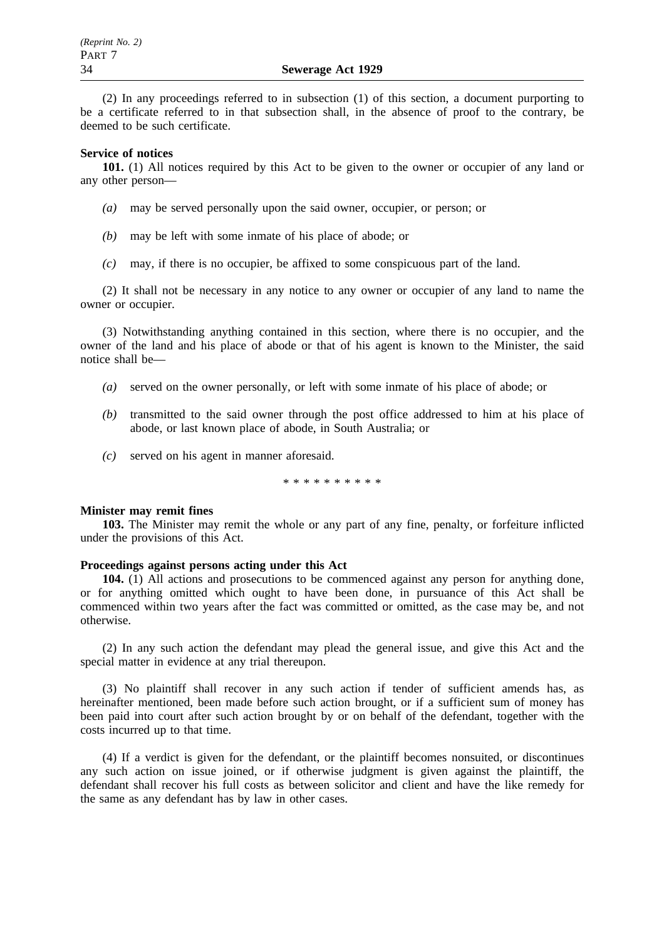(2) In any proceedings referred to in subsection (1) of this section, a document purporting to be a certificate referred to in that subsection shall, in the absence of proof to the contrary, be deemed to be such certificate.

## **Service of notices**

**101.** (1) All notices required by this Act to be given to the owner or occupier of any land or any other person—

- *(a)* may be served personally upon the said owner, occupier, or person; or
- *(b)* may be left with some inmate of his place of abode; or
- *(c)* may, if there is no occupier, be affixed to some conspicuous part of the land.

(2) It shall not be necessary in any notice to any owner or occupier of any land to name the owner or occupier.

(3) Notwithstanding anything contained in this section, where there is no occupier, and the owner of the land and his place of abode or that of his agent is known to the Minister, the said notice shall be—

- *(a)* served on the owner personally, or left with some inmate of his place of abode; or
- *(b)* transmitted to the said owner through the post office addressed to him at his place of abode, or last known place of abode, in South Australia; or
- *(c)* served on his agent in manner aforesaid.

\*\*\*\*\*\*\*\*\*\*

## **Minister may remit fines**

**103.** The Minister may remit the whole or any part of any fine, penalty, or forfeiture inflicted under the provisions of this Act.

## **Proceedings against persons acting under this Act**

**104.** (1) All actions and prosecutions to be commenced against any person for anything done, or for anything omitted which ought to have been done, in pursuance of this Act shall be commenced within two years after the fact was committed or omitted, as the case may be, and not otherwise.

(2) In any such action the defendant may plead the general issue, and give this Act and the special matter in evidence at any trial thereupon.

(3) No plaintiff shall recover in any such action if tender of sufficient amends has, as hereinafter mentioned, been made before such action brought, or if a sufficient sum of money has been paid into court after such action brought by or on behalf of the defendant, together with the costs incurred up to that time.

(4) If a verdict is given for the defendant, or the plaintiff becomes nonsuited, or discontinues any such action on issue joined, or if otherwise judgment is given against the plaintiff, the defendant shall recover his full costs as between solicitor and client and have the like remedy for the same as any defendant has by law in other cases.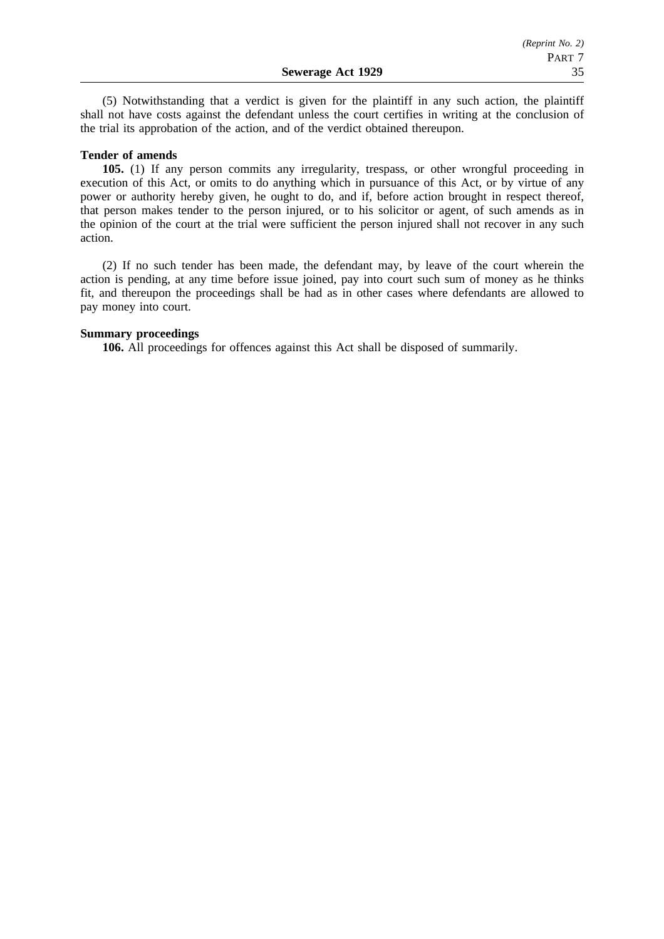(5) Notwithstanding that a verdict is given for the plaintiff in any such action, the plaintiff shall not have costs against the defendant unless the court certifies in writing at the conclusion of the trial its approbation of the action, and of the verdict obtained thereupon.

## **Tender of amends**

**105.** (1) If any person commits any irregularity, trespass, or other wrongful proceeding in execution of this Act, or omits to do anything which in pursuance of this Act, or by virtue of any power or authority hereby given, he ought to do, and if, before action brought in respect thereof, that person makes tender to the person injured, or to his solicitor or agent, of such amends as in the opinion of the court at the trial were sufficient the person injured shall not recover in any such action.

(2) If no such tender has been made, the defendant may, by leave of the court wherein the action is pending, at any time before issue joined, pay into court such sum of money as he thinks fit, and thereupon the proceedings shall be had as in other cases where defendants are allowed to pay money into court.

## **Summary proceedings**

**106.** All proceedings for offences against this Act shall be disposed of summarily.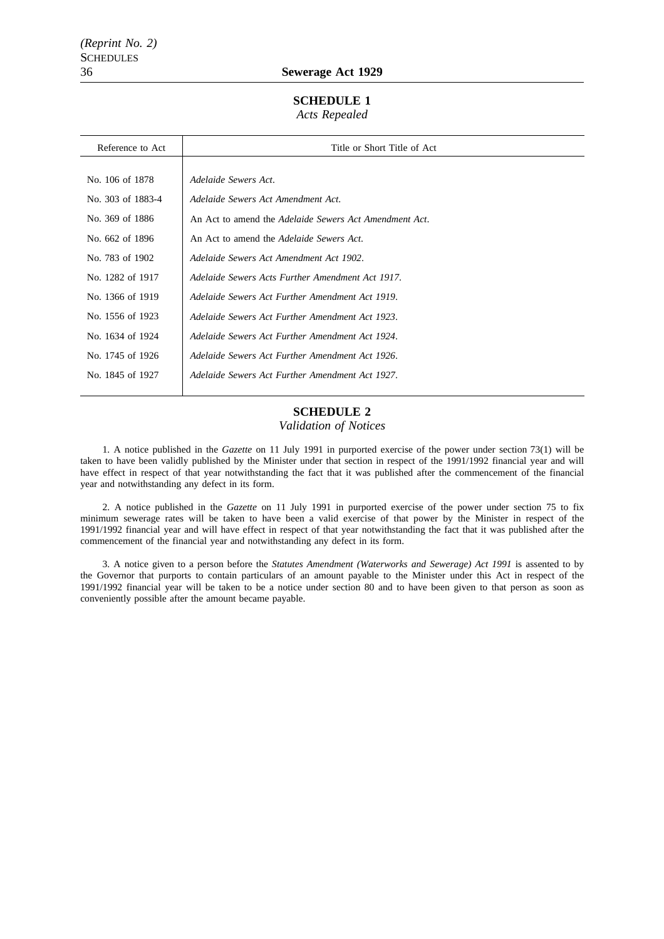## 36 **Sewerage Act 1929**

## **SCHEDULE 1**

*Acts Repealed*

| Reference to Act  | Title or Short Title of Act                            |
|-------------------|--------------------------------------------------------|
|                   |                                                        |
| No. 106 of 1878   | Adelaide Sewers Act.                                   |
| No. 303 of 1883-4 | Adelaide Sewers Act Amendment Act.                     |
| No. 369 of 1886   | An Act to amend the Adelaide Sewers Act Amendment Act. |
| No. 662 of 1896   | An Act to amend the <i>Adelaide Sewers Act</i> .       |
| No. 783 of 1902   | Adelaide Sewers Act Amendment Act 1902.                |
| No. 1282 of 1917  | Adelaide Sewers Acts Further Amendment Act 1917.       |
| No. 1366 of 1919  | Adelaide Sewers Act Further Amendment Act 1919.        |
| No. 1556 of 1923  | Adelaide Sewers Act Further Amendment Act 1923.        |
| No. 1634 of 1924  | Adelaide Sewers Act Further Amendment Act 1924.        |
| No. 1745 of 1926  | Adelaide Sewers Act Further Amendment Act 1926.        |
| No. 1845 of 1927  | Adelaide Sewers Act Further Amendment Act 1927.        |
|                   |                                                        |

# **SCHEDULE 2**

#### *Validation of Notices*

1. A notice published in the *Gazette* on 11 July 1991 in purported exercise of the power under section 73(1) will be taken to have been validly published by the Minister under that section in respect of the 1991/1992 financial year and will have effect in respect of that year notwithstanding the fact that it was published after the commencement of the financial year and notwithstanding any defect in its form.

2. A notice published in the *Gazette* on 11 July 1991 in purported exercise of the power under section 75 to fix minimum sewerage rates will be taken to have been a valid exercise of that power by the Minister in respect of the 1991/1992 financial year and will have effect in respect of that year notwithstanding the fact that it was published after the commencement of the financial year and notwithstanding any defect in its form.

3. A notice given to a person before the *Statutes Amendment (Waterworks and Sewerage) Act 1991* is assented to by the Governor that purports to contain particulars of an amount payable to the Minister under this Act in respect of the 1991/1992 financial year will be taken to be a notice under section 80 and to have been given to that person as soon as conveniently possible after the amount became payable.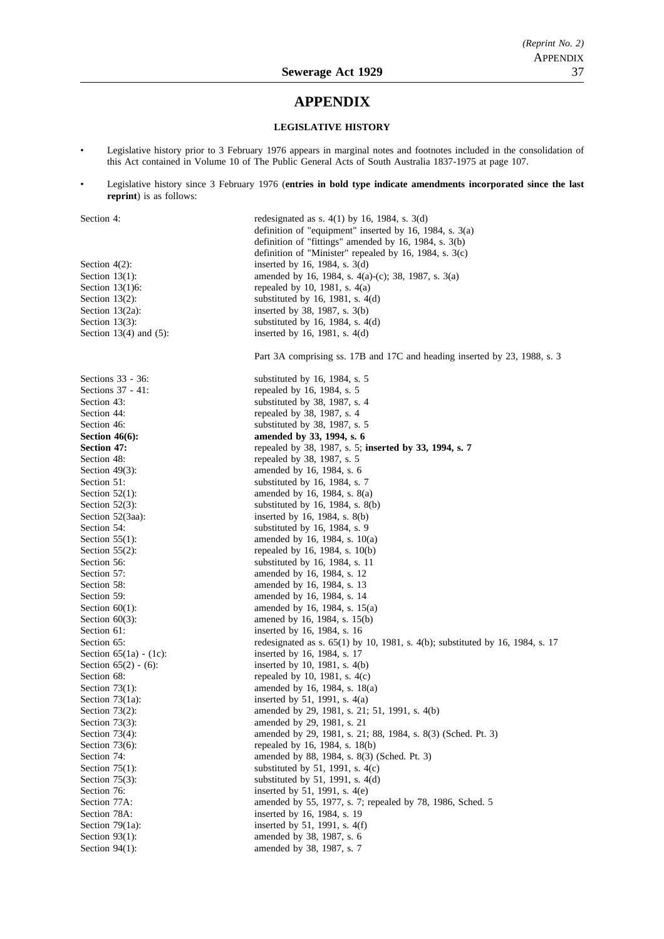# **APPENDIX**

## **LEGISLATIVE HISTORY**

- Legislative history prior to 3 February 1976 appears in marginal notes and footnotes included in the consolidation of this Act contained in Volume 10 of The Public General Acts of South Australia 1837-1975 at page 107.
- Legislative history since 3 February 1976 (**entries in bold type indicate amendments incorporated since the last reprint**) is as follows:

| Section 4:                | redesignated as s. $4(1)$ by 16, 1984, s. $3(d)$                                |
|---------------------------|---------------------------------------------------------------------------------|
|                           | definition of "equipment" inserted by 16, 1984, s. $3(a)$                       |
|                           | definition of "fittings" amended by 16, 1984, s. 3(b)                           |
|                           | definition of "Minister" repealed by 16, 1984, s. $3(c)$                        |
| Section $4(2)$ :          | inserted by 16, 1984, s. $3(d)$                                                 |
| Section $13(1)$ :         | amended by 16, 1984, s. 4(a)-(c); 38, 1987, s. 3(a)                             |
| Section 13(1)6:           | repealed by 10, 1981, s. $4(a)$                                                 |
| Section $13(2)$ :         | substituted by 16, 1981, s. $4(d)$                                              |
|                           |                                                                                 |
| Section $13(2a)$ :        | inserted by 38, 1987, s. 3(b)                                                   |
| Section $13(3)$ :         | substituted by 16, 1984, s. $4(d)$                                              |
| Section 13(4) and $(5)$ : | inserted by 16, 1981, s. $4(d)$                                                 |
|                           | Part 3A comprising ss. 17B and 17C and heading inserted by 23, 1988, s. 3       |
| Sections 33 - 36:         | substituted by $16$ , $1984$ , s. 5                                             |
| Sections 37 - 41:         | repealed by 16, 1984, s. 5                                                      |
| Section 43:               | substituted by 38, 1987, s. 4                                                   |
| Section 44:               | repealed by 38, 1987, s. 4                                                      |
| Section 46:               | substituted by 38, 1987, s. 5                                                   |
| Section $46(6)$ :         | amended by 33, 1994, s. 6                                                       |
| <b>Section 47:</b>        | repealed by 38, 1987, s. 5; inserted by 33, 1994, s. 7                          |
| Section 48:               | repealed by 38, 1987, s. 5                                                      |
| Section $49(3)$ :         | amended by 16, 1984, s. 6                                                       |
| Section 51:               | substituted by 16, 1984, s. 7                                                   |
|                           |                                                                                 |
| Section $52(1)$ :         | amended by 16, 1984, s. 8(a)                                                    |
| Section $52(3)$ :         | substituted by 16, 1984, s. $8(b)$                                              |
| Section 52(3aa):          | inserted by 16, 1984, s. $8(b)$                                                 |
| Section 54:               | substituted by $16$ , $1984$ , s. 9                                             |
| Section $55(1)$ :         | amended by 16, 1984, s. $10(a)$                                                 |
| Section $55(2)$ :         | repealed by 16, 1984, s. $10(b)$                                                |
| Section 56:               | substituted by 16, 1984, s. 11                                                  |
| Section 57:               | amended by 16, 1984, s. 12                                                      |
| Section 58:               | amended by 16, 1984, s. 13                                                      |
| Section 59:               | amended by 16, 1984, s. 14                                                      |
| Section $60(1)$ :         | amended by 16, 1984, s. 15(a)                                                   |
| Section $60(3)$ :         | amened by 16, 1984, s. 15(b)                                                    |
| Section 61:               | inserted by 16, 1984, s. 16                                                     |
| Section 65:               | redesignated as s. $65(1)$ by 10, 1981, s. 4(b); substituted by 16, 1984, s. 17 |
| Section $65(1a) - (1c)$ : | inserted by 16, 1984, s. 17                                                     |
| Section $65(2) - (6)$ :   | inserted by 10, 1981, s. $4(b)$                                                 |
| Section 68:               | repealed by 10, 1981, s. $4(c)$                                                 |
| Section $73(1)$ :         | amended by 16, 1984, s. 18(a)                                                   |
| Section $73(1a)$ :        | inserted by 51, 1991, s. $4(a)$                                                 |
| Section $73(2)$ :         | amended by 29, 1981, s. 21; 51, 1991, s. 4(b)                                   |
| Section $73(3)$ :         | amended by 29, 1981, s. 21                                                      |
|                           | amended by 29, 1981, s. 21; 88, 1984, s. 8(3) (Sched. Pt. 3)                    |
| Section $73(4)$ :         |                                                                                 |
| Section $73(6)$ :         | repealed by 16, 1984, s. 18(b)                                                  |
| Section 74:               | amended by 88, 1984, s. 8(3) (Sched. Pt. 3)                                     |
| Section $75(1)$ :         | substituted by 51, 1991, s. $4(c)$                                              |
| Section $75(3)$ :         | substituted by 51, 1991, s. 4(d)                                                |
| Section 76:               | inserted by 51, 1991, s. 4(e)                                                   |
| Section 77A:              | amended by 55, 1977, s. 7; repealed by 78, 1986, Sched. 5                       |
| Section 78A:              | inserted by 16, 1984, s. 19                                                     |
| Section $79(1a)$ :        | inserted by 51, 1991, s. 4(f)                                                   |
| Section $93(1)$ :         | amended by 38, 1987, s. 6                                                       |
| Section $94(1)$ :         | amended by 38, 1987, s. 7                                                       |